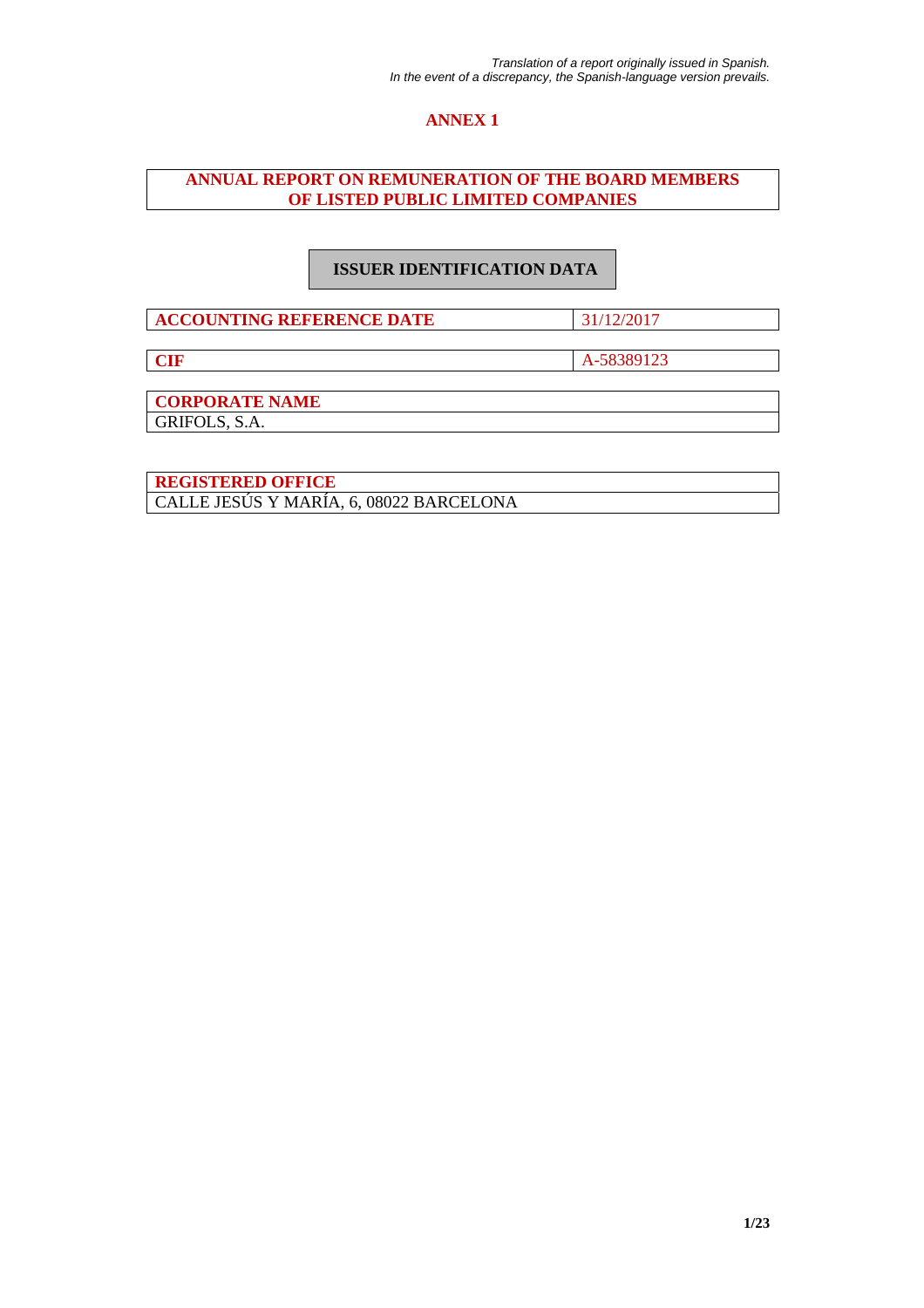# **ANNEX 1**

# **ANNUAL REPORT ON REMUNERATION OF THE BOARD MEMBERS OF LISTED PUBLIC LIMITED COMPANIES**

# **ISSUER IDENTIFICATION DATA**

**ACCOUNTING REFERENCE DATE** 31/12/2017

**CIF** A-58389123

**CORPORATE NAME** 

GRIFOLS, S.A.

**REGISTERED OFFICE**  CALLE JESÚS Y MARÍA, 6, 08022 BARCELONA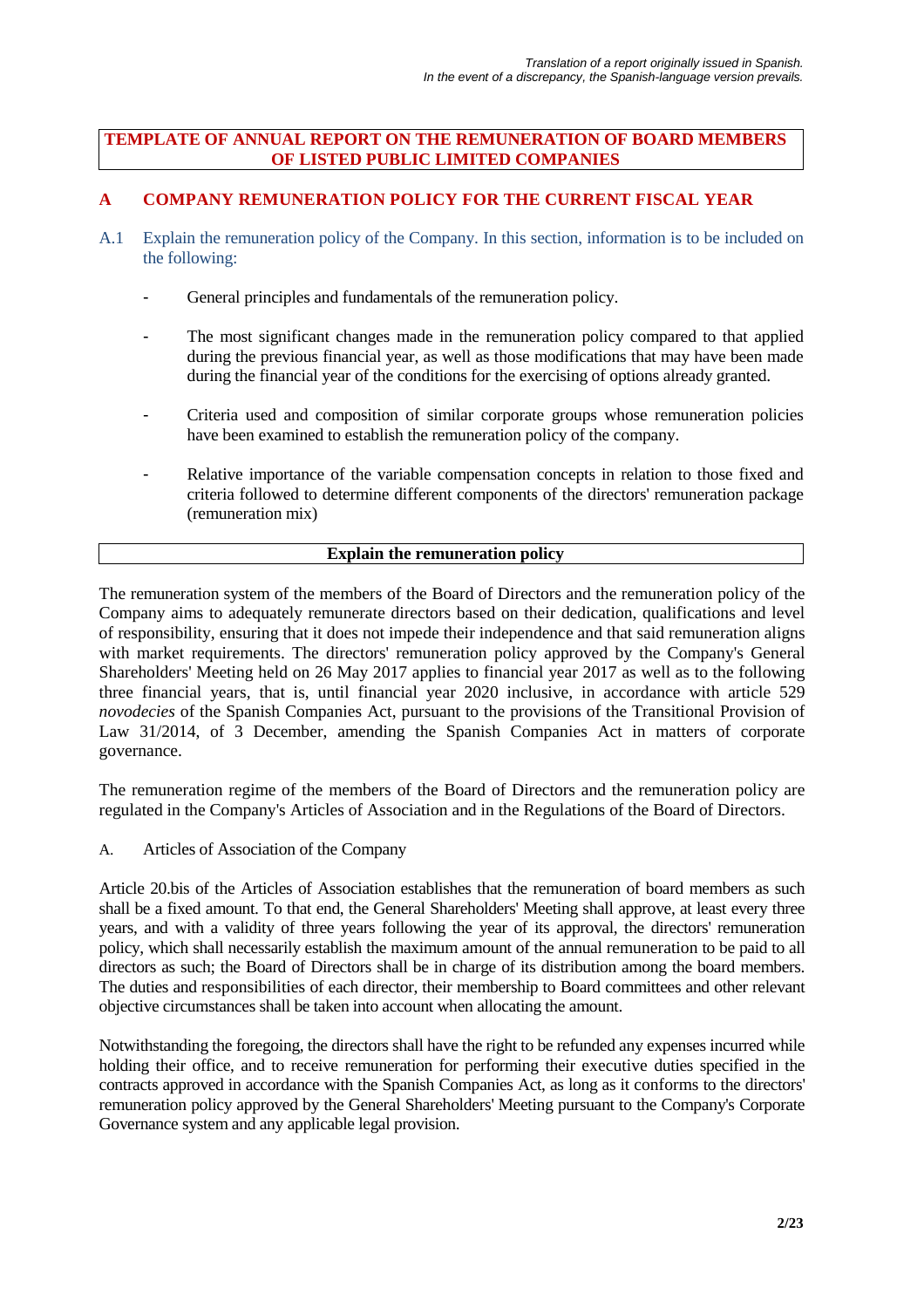## **TEMPLATE OF ANNUAL REPORT ON THE REMUNERATION OF BOARD MEMBERS OF LISTED PUBLIC LIMITED COMPANIES**

# **A COMPANY REMUNERATION POLICY FOR THE CURRENT FISCAL YEAR**

- A.1 Explain the remuneration policy of the Company. In this section, information is to be included on the following:
	- General principles and fundamentals of the remuneration policy.
	- The most significant changes made in the remuneration policy compared to that applied during the previous financial year, as well as those modifications that may have been made during the financial year of the conditions for the exercising of options already granted.
	- Criteria used and composition of similar corporate groups whose remuneration policies have been examined to establish the remuneration policy of the company.
	- Relative importance of the variable compensation concepts in relation to those fixed and criteria followed to determine different components of the directors' remuneration package (remuneration mix)

## **Explain the remuneration policy**

The remuneration system of the members of the Board of Directors and the remuneration policy of the Company aims to adequately remunerate directors based on their dedication, qualifications and level of responsibility, ensuring that it does not impede their independence and that said remuneration aligns with market requirements. The directors' remuneration policy approved by the Company's General Shareholders' Meeting held on 26 May 2017 applies to financial year 2017 as well as to the following three financial years, that is, until financial year 2020 inclusive, in accordance with article 529 *novodecies* of the Spanish Companies Act, pursuant to the provisions of the Transitional Provision of Law 31/2014, of 3 December, amending the Spanish Companies Act in matters of corporate governance.

The remuneration regime of the members of the Board of Directors and the remuneration policy are regulated in the Company's Articles of Association and in the Regulations of the Board of Directors.

A. Articles of Association of the Company

Article 20.bis of the Articles of Association establishes that the remuneration of board members as such shall be a fixed amount. To that end, the General Shareholders' Meeting shall approve, at least every three years, and with a validity of three years following the year of its approval, the directors' remuneration policy, which shall necessarily establish the maximum amount of the annual remuneration to be paid to all directors as such; the Board of Directors shall be in charge of its distribution among the board members. The duties and responsibilities of each director, their membership to Board committees and other relevant objective circumstances shall be taken into account when allocating the amount.

Notwithstanding the foregoing, the directors shall have the right to be refunded any expenses incurred while holding their office, and to receive remuneration for performing their executive duties specified in the contracts approved in accordance with the Spanish Companies Act, as long as it conforms to the directors' remuneration policy approved by the General Shareholders' Meeting pursuant to the Company's Corporate Governance system and any applicable legal provision.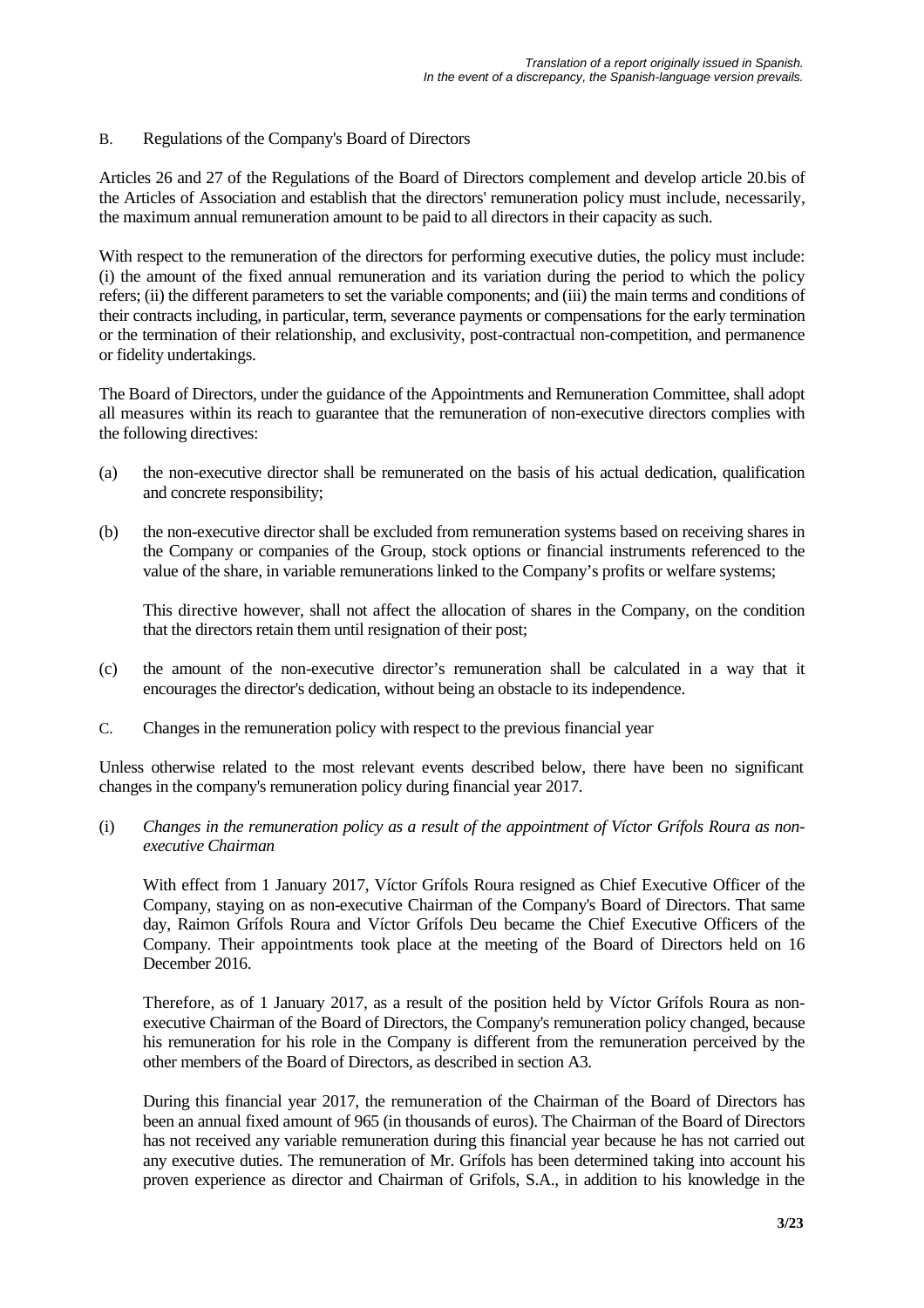## B. Regulations of the Company's Board of Directors

Articles 26 and 27 of the Regulations of the Board of Directors complement and develop article 20.bis of the Articles of Association and establish that the directors' remuneration policy must include, necessarily, the maximum annual remuneration amount to be paid to all directors in their capacity as such.

With respect to the remuneration of the directors for performing executive duties, the policy must include: (i) the amount of the fixed annual remuneration and its variation during the period to which the policy refers; (ii) the different parameters to set the variable components; and (iii) the main terms and conditions of their contracts including, in particular, term, severance payments or compensations for the early termination or the termination of their relationship, and exclusivity, post-contractual non-competition, and permanence or fidelity undertakings.

The Board of Directors, under the guidance of the Appointments and Remuneration Committee, shall adopt all measures within its reach to guarantee that the remuneration of non-executive directors complies with the following directives:

- (a) the non-executive director shall be remunerated on the basis of his actual dedication, qualification and concrete responsibility;
- (b) the non-executive director shall be excluded from remuneration systems based on receiving shares in the Company or companies of the Group, stock options or financial instruments referenced to the value of the share, in variable remunerations linked to the Company's profits or welfare systems;

This directive however, shall not affect the allocation of shares in the Company, on the condition that the directors retain them until resignation of their post;

- (c) the amount of the non-executive director's remuneration shall be calculated in a way that it encourages the director's dedication, without being an obstacle to its independence.
- C. Changes in the remuneration policy with respect to the previous financial year

Unless otherwise related to the most relevant events described below, there have been no significant changes in the company's remuneration policy during financial year 2017.

(i) *Changes in the remuneration policy as a result of the appointment of Víctor Grífols Roura as nonexecutive Chairman* 

With effect from 1 January 2017, Víctor Grífols Roura resigned as Chief Executive Officer of the Company, staying on as non-executive Chairman of the Company's Board of Directors. That same day, Raimon Grífols Roura and Víctor Grífols Deu became the Chief Executive Officers of the Company. Their appointments took place at the meeting of the Board of Directors held on 16 December 2016.

Therefore, as of 1 January 2017, as a result of the position held by Víctor Grífols Roura as nonexecutive Chairman of the Board of Directors, the Company's remuneration policy changed, because his remuneration for his role in the Company is different from the remuneration perceived by the other members of the Board of Directors, as described in section A3.

During this financial year 2017, the remuneration of the Chairman of the Board of Directors has been an annual fixed amount of 965 (in thousands of euros). The Chairman of the Board of Directors has not received any variable remuneration during this financial year because he has not carried out any executive duties. The remuneration of Mr. Grífols has been determined taking into account his proven experience as director and Chairman of Grifols, S.A., in addition to his knowledge in the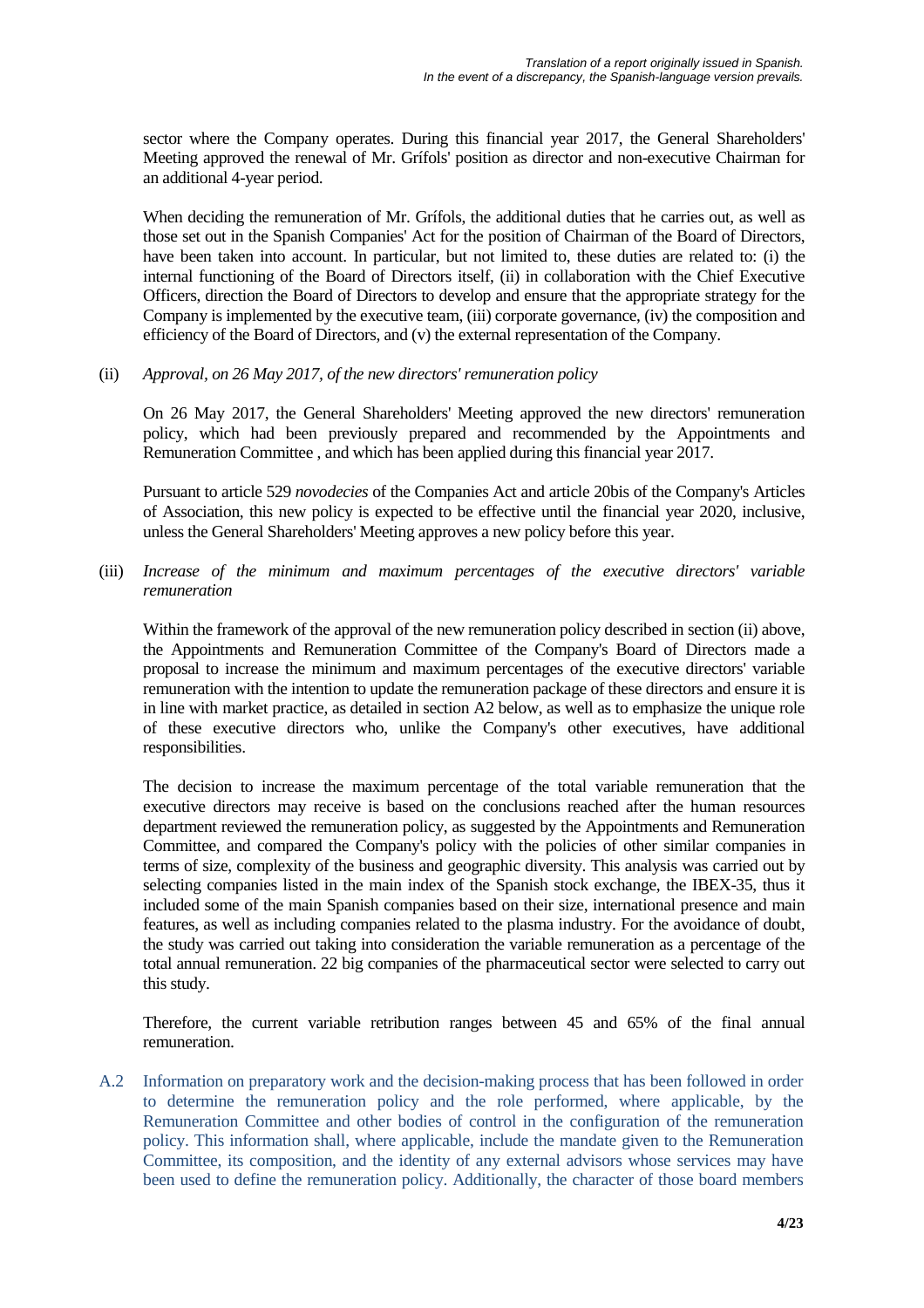sector where the Company operates. During this financial year 2017, the General Shareholders' Meeting approved the renewal of Mr. Grífols' position as director and non-executive Chairman for an additional 4-year period.

When deciding the remuneration of Mr. Grífols, the additional duties that he carries out, as well as those set out in the Spanish Companies' Act for the position of Chairman of the Board of Directors, have been taken into account. In particular, but not limited to, these duties are related to: (i) the internal functioning of the Board of Directors itself, (ii) in collaboration with the Chief Executive Officers, direction the Board of Directors to develop and ensure that the appropriate strategy for the Company is implemented by the executive team, (iii) corporate governance, (iv) the composition and efficiency of the Board of Directors, and (v) the external representation of the Company.

## (ii) *Approval, on 26 May 2017, of the new directors' remuneration policy*

On 26 May 2017, the General Shareholders' Meeting approved the new directors' remuneration policy, which had been previously prepared and recommended by the Appointments and Remuneration Committee , and which has been applied during this financial year 2017.

Pursuant to article 529 *novodecies* of the Companies Act and article 20bis of the Company's Articles of Association, this new policy is expected to be effective until the financial year 2020, inclusive, unless the General Shareholders' Meeting approves a new policy before this year.

(iii) *Increase of the minimum and maximum percentages of the executive directors' variable remuneration* 

Within the framework of the approval of the new remuneration policy described in section (ii) above, the Appointments and Remuneration Committee of the Company's Board of Directors made a proposal to increase the minimum and maximum percentages of the executive directors' variable remuneration with the intention to update the remuneration package of these directors and ensure it is in line with market practice, as detailed in section A2 below, as well as to emphasize the unique role of these executive directors who, unlike the Company's other executives, have additional responsibilities.

The decision to increase the maximum percentage of the total variable remuneration that the executive directors may receive is based on the conclusions reached after the human resources department reviewed the remuneration policy, as suggested by the Appointments and Remuneration Committee, and compared the Company's policy with the policies of other similar companies in terms of size, complexity of the business and geographic diversity. This analysis was carried out by selecting companies listed in the main index of the Spanish stock exchange, the IBEX-35, thus it included some of the main Spanish companies based on their size, international presence and main features, as well as including companies related to the plasma industry. For the avoidance of doubt, the study was carried out taking into consideration the variable remuneration as a percentage of the total annual remuneration. 22 big companies of the pharmaceutical sector were selected to carry out this study.

Therefore, the current variable retribution ranges between 45 and 65% of the final annual remuneration.

A.2 Information on preparatory work and the decision-making process that has been followed in order to determine the remuneration policy and the role performed, where applicable, by the Remuneration Committee and other bodies of control in the configuration of the remuneration policy. This information shall, where applicable, include the mandate given to the Remuneration Committee, its composition, and the identity of any external advisors whose services may have been used to define the remuneration policy. Additionally, the character of those board members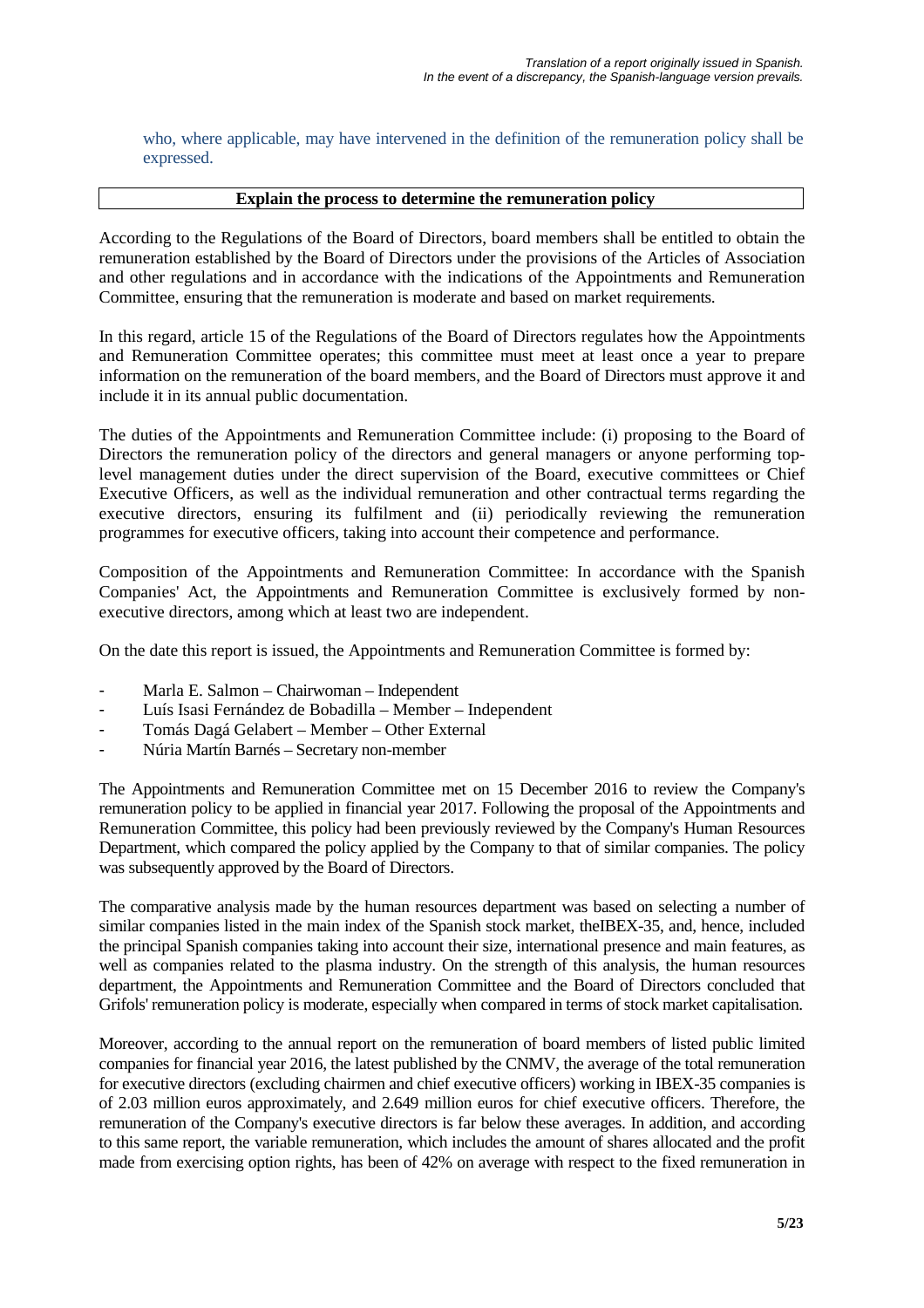who, where applicable, may have intervened in the definition of the remuneration policy shall be expressed.

#### **Explain the process to determine the remuneration policy**

According to the Regulations of the Board of Directors, board members shall be entitled to obtain the remuneration established by the Board of Directors under the provisions of the Articles of Association and other regulations and in accordance with the indications of the Appointments and Remuneration Committee, ensuring that the remuneration is moderate and based on market requirements.

In this regard, article 15 of the Regulations of the Board of Directors regulates how the Appointments and Remuneration Committee operates; this committee must meet at least once a year to prepare information on the remuneration of the board members, and the Board of Directors must approve it and include it in its annual public documentation.

The duties of the Appointments and Remuneration Committee include: (i) proposing to the Board of Directors the remuneration policy of the directors and general managers or anyone performing toplevel management duties under the direct supervision of the Board, executive committees or Chief Executive Officers, as well as the individual remuneration and other contractual terms regarding the executive directors, ensuring its fulfilment and (ii) periodically reviewing the remuneration programmes for executive officers, taking into account their competence and performance.

Composition of the Appointments and Remuneration Committee: In accordance with the Spanish Companies' Act, the Appointments and Remuneration Committee is exclusively formed by nonexecutive directors, among which at least two are independent.

On the date this report is issued, the Appointments and Remuneration Committee is formed by:

- Marla E. Salmon Chairwoman Independent
- Luís Isasi Fernández de Bobadilla Member Independent
- Tomás Dagá Gelabert Member Other External
- Núria Martín Barnés Secretary non-member

The Appointments and Remuneration Committee met on 15 December 2016 to review the Company's remuneration policy to be applied in financial year 2017. Following the proposal of the Appointments and Remuneration Committee, this policy had been previously reviewed by the Company's Human Resources Department, which compared the policy applied by the Company to that of similar companies. The policy was subsequently approved by the Board of Directors.

The comparative analysis made by the human resources department was based on selecting a number of similar companies listed in the main index of the Spanish stock market, theIBEX-35, and, hence, included the principal Spanish companies taking into account their size, international presence and main features, as well as companies related to the plasma industry. On the strength of this analysis, the human resources department, the Appointments and Remuneration Committee and the Board of Directors concluded that Grifols' remuneration policy is moderate, especially when compared in terms of stock market capitalisation.

Moreover, according to the annual report on the remuneration of board members of listed public limited companies for financial year 2016, the latest published by the CNMV, the average of the total remuneration for executive directors (excluding chairmen and chief executive officers) working in IBEX-35 companies is of 2.03 million euros approximately, and 2.649 million euros for chief executive officers. Therefore, the remuneration of the Company's executive directors is far below these averages. In addition, and according to this same report, the variable remuneration, which includes the amount of shares allocated and the profit made from exercising option rights, has been of 42% on average with respect to the fixed remuneration in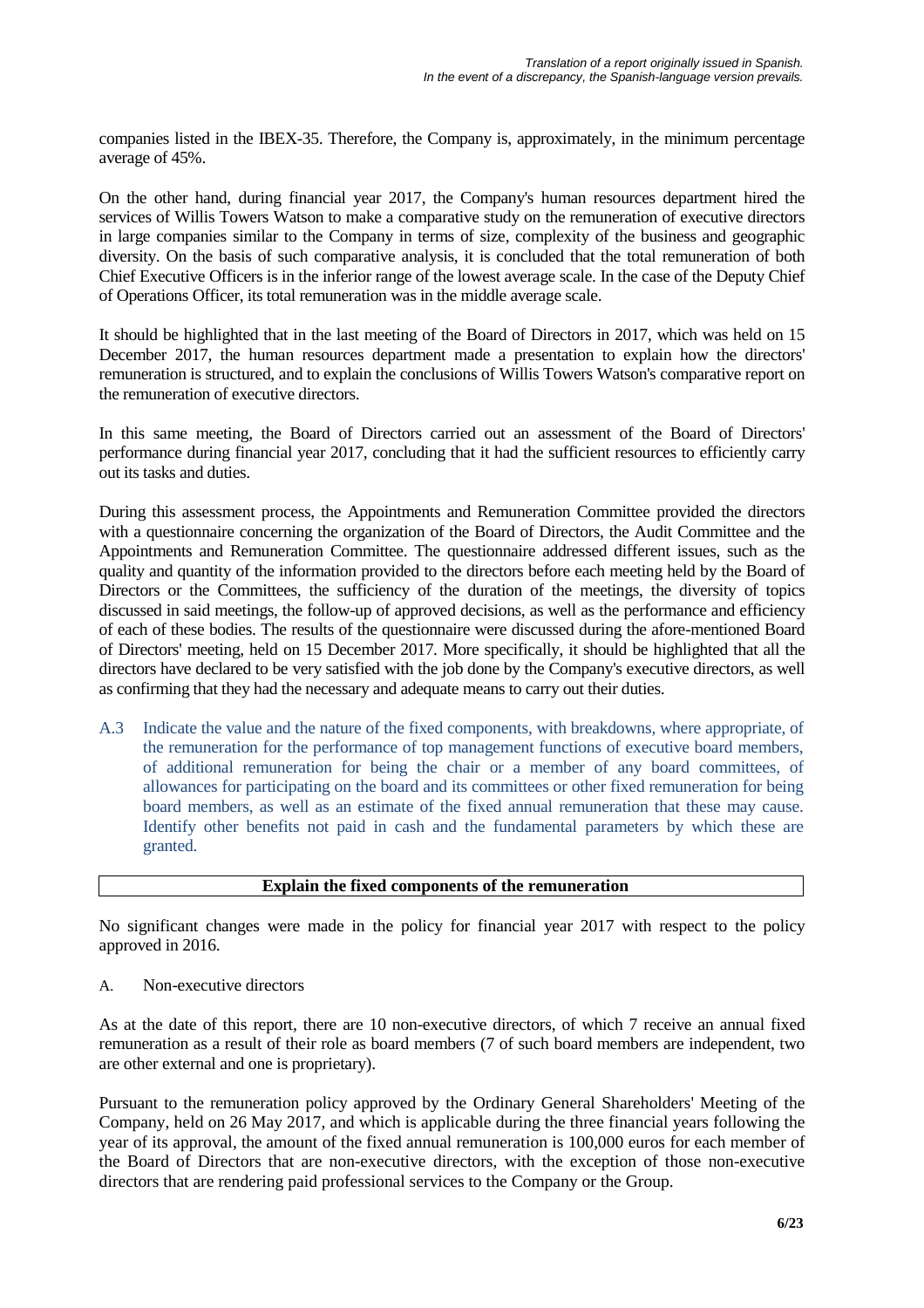companies listed in the IBEX-35. Therefore, the Company is, approximately, in the minimum percentage average of 45%.

On the other hand, during financial year 2017, the Company's human resources department hired the services of Willis Towers Watson to make a comparative study on the remuneration of executive directors in large companies similar to the Company in terms of size, complexity of the business and geographic diversity. On the basis of such comparative analysis, it is concluded that the total remuneration of both Chief Executive Officers is in the inferior range of the lowest average scale. In the case of the Deputy Chief of Operations Officer, its total remuneration was in the middle average scale.

It should be highlighted that in the last meeting of the Board of Directors in 2017, which was held on 15 December 2017, the human resources department made a presentation to explain how the directors' remuneration is structured, and to explain the conclusions of Willis Towers Watson's comparative report on the remuneration of executive directors.

In this same meeting, the Board of Directors carried out an assessment of the Board of Directors' performance during financial year 2017, concluding that it had the sufficient resources to efficiently carry out its tasks and duties.

During this assessment process, the Appointments and Remuneration Committee provided the directors with a questionnaire concerning the organization of the Board of Directors, the Audit Committee and the Appointments and Remuneration Committee. The questionnaire addressed different issues, such as the quality and quantity of the information provided to the directors before each meeting held by the Board of Directors or the Committees, the sufficiency of the duration of the meetings, the diversity of topics discussed in said meetings, the follow-up of approved decisions, as well as the performance and efficiency of each of these bodies. The results of the questionnaire were discussed during the afore-mentioned Board of Directors' meeting, held on 15 December 2017. More specifically, it should be highlighted that all the directors have declared to be very satisfied with the job done by the Company's executive directors, as well as confirming that they had the necessary and adequate means to carry out their duties.

A.3 Indicate the value and the nature of the fixed components, with breakdowns, where appropriate, of the remuneration for the performance of top management functions of executive board members, of additional remuneration for being the chair or a member of any board committees, of allowances for participating on the board and its committees or other fixed remuneration for being board members, as well as an estimate of the fixed annual remuneration that these may cause. Identify other benefits not paid in cash and the fundamental parameters by which these are granted.

## **Explain the fixed components of the remuneration**

No significant changes were made in the policy for financial year 2017 with respect to the policy approved in 2016.

A. Non-executive directors

As at the date of this report, there are 10 non-executive directors, of which 7 receive an annual fixed remuneration as a result of their role as board members (7 of such board members are independent, two are other external and one is proprietary).

Pursuant to the remuneration policy approved by the Ordinary General Shareholders' Meeting of the Company, held on 26 May 2017, and which is applicable during the three financial years following the year of its approval, the amount of the fixed annual remuneration is 100,000 euros for each member of the Board of Directors that are non-executive directors, with the exception of those non-executive directors that are rendering paid professional services to the Company or the Group.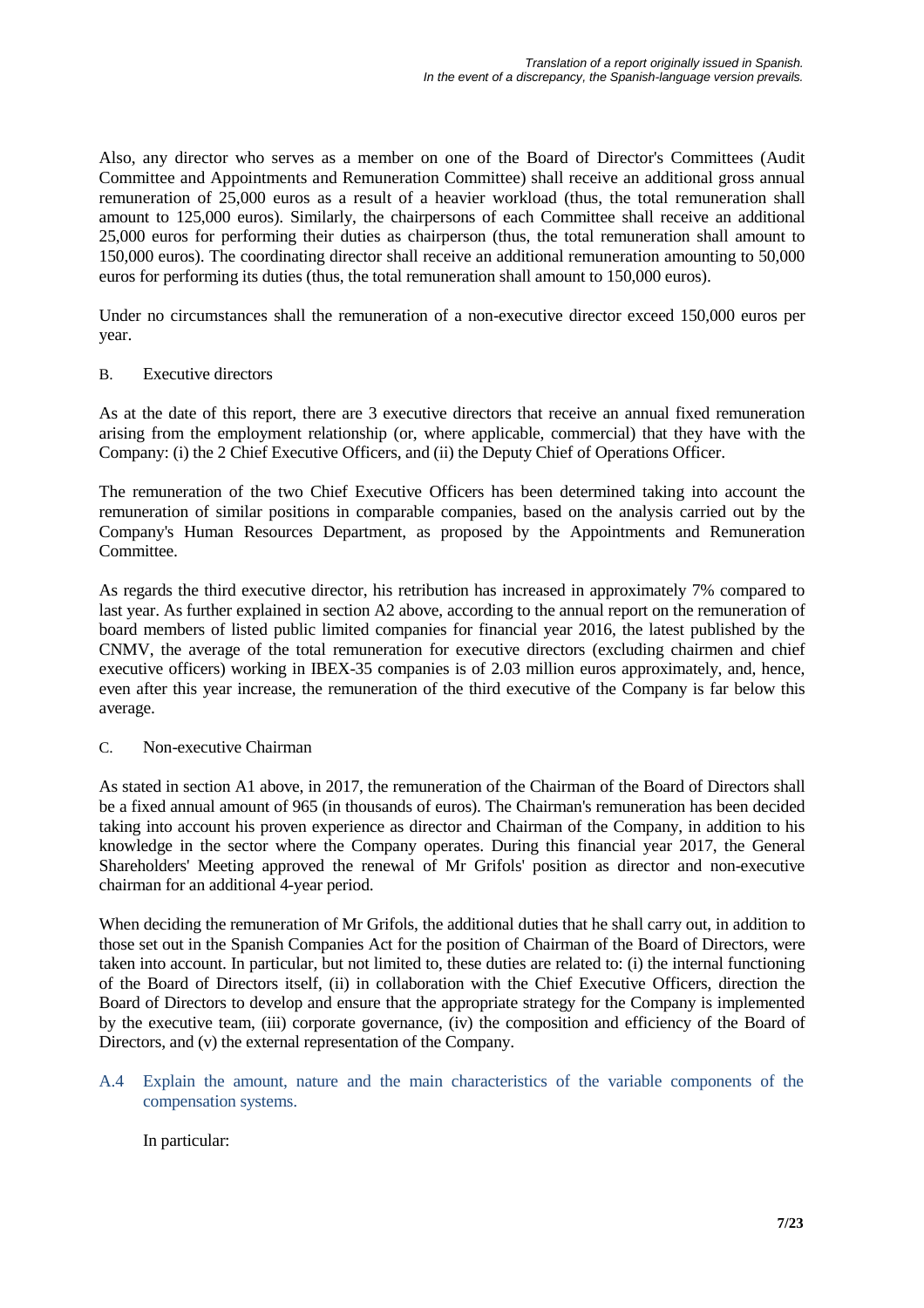Also, any director who serves as a member on one of the Board of Director's Committees (Audit Committee and Appointments and Remuneration Committee) shall receive an additional gross annual remuneration of 25,000 euros as a result of a heavier workload (thus, the total remuneration shall amount to 125,000 euros). Similarly, the chairpersons of each Committee shall receive an additional 25,000 euros for performing their duties as chairperson (thus, the total remuneration shall amount to 150,000 euros). The coordinating director shall receive an additional remuneration amounting to 50,000 euros for performing its duties (thus, the total remuneration shall amount to 150,000 euros).

Under no circumstances shall the remuneration of a non-executive director exceed 150,000 euros per year.

## B. Executive directors

As at the date of this report, there are 3 executive directors that receive an annual fixed remuneration arising from the employment relationship (or, where applicable, commercial) that they have with the Company: (i) the 2 Chief Executive Officers, and (ii) the Deputy Chief of Operations Officer.

The remuneration of the two Chief Executive Officers has been determined taking into account the remuneration of similar positions in comparable companies, based on the analysis carried out by the Company's Human Resources Department, as proposed by the Appointments and Remuneration Committee.

As regards the third executive director, his retribution has increased in approximately 7% compared to last year. As further explained in section A2 above, according to the annual report on the remuneration of board members of listed public limited companies for financial year 2016, the latest published by the CNMV, the average of the total remuneration for executive directors (excluding chairmen and chief executive officers) working in IBEX-35 companies is of 2.03 million euros approximately, and, hence, even after this year increase, the remuneration of the third executive of the Company is far below this average.

## C. Non-executive Chairman

As stated in section A1 above, in 2017, the remuneration of the Chairman of the Board of Directors shall be a fixed annual amount of 965 (in thousands of euros). The Chairman's remuneration has been decided taking into account his proven experience as director and Chairman of the Company, in addition to his knowledge in the sector where the Company operates. During this financial year 2017, the General Shareholders' Meeting approved the renewal of Mr Grifols' position as director and non-executive chairman for an additional 4-year period.

When deciding the remuneration of Mr Grifols, the additional duties that he shall carry out, in addition to those set out in the Spanish Companies Act for the position of Chairman of the Board of Directors, were taken into account. In particular, but not limited to, these duties are related to: (i) the internal functioning of the Board of Directors itself, (ii) in collaboration with the Chief Executive Officers, direction the Board of Directors to develop and ensure that the appropriate strategy for the Company is implemented by the executive team, (iii) corporate governance, (iv) the composition and efficiency of the Board of Directors, and (v) the external representation of the Company.

A.4 Explain the amount, nature and the main characteristics of the variable components of the compensation systems.

In particular: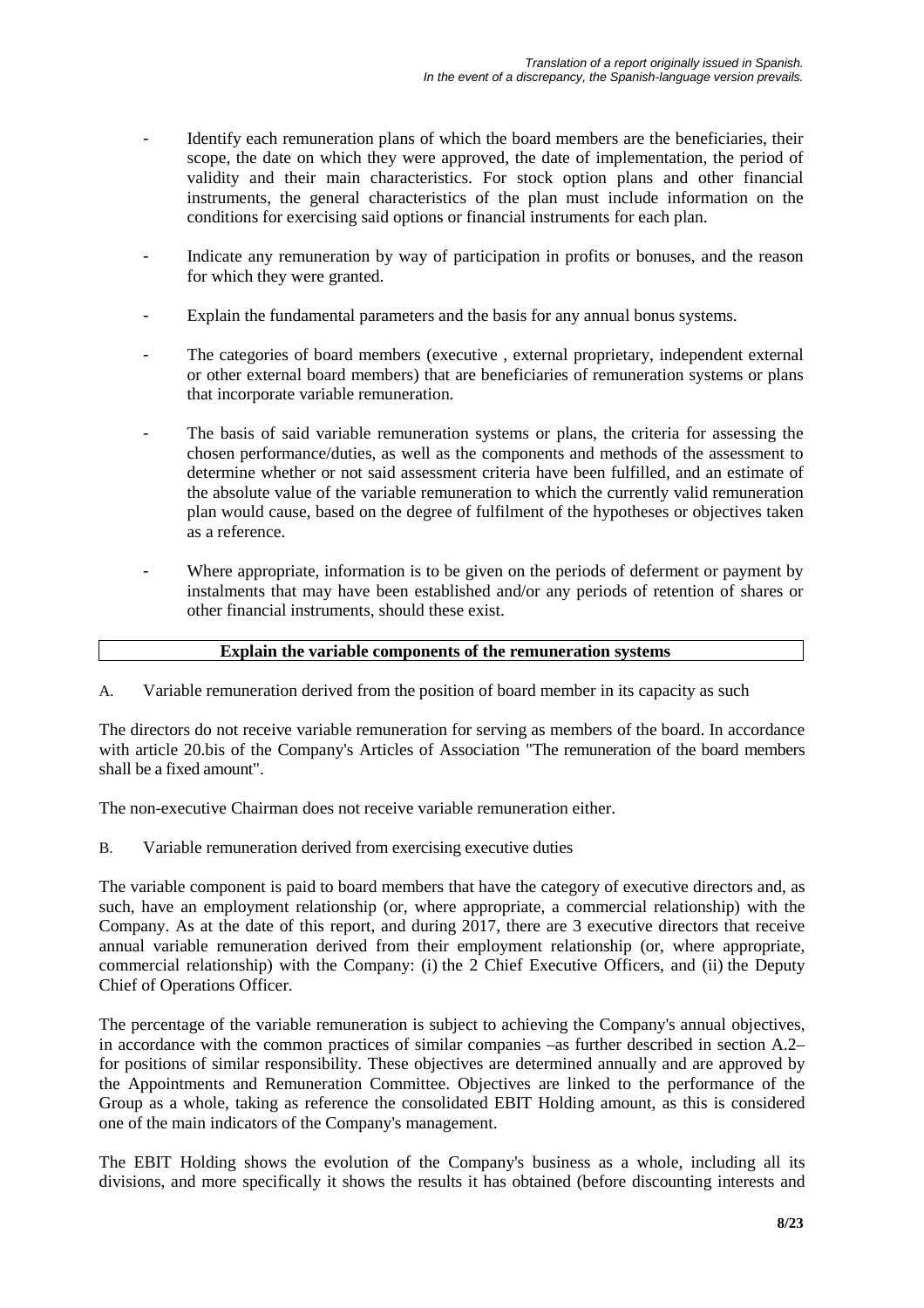- Identify each remuneration plans of which the board members are the beneficiaries, their scope, the date on which they were approved, the date of implementation, the period of validity and their main characteristics. For stock option plans and other financial instruments, the general characteristics of the plan must include information on the conditions for exercising said options or financial instruments for each plan.
- Indicate any remuneration by way of participation in profits or bonuses, and the reason for which they were granted.
- Explain the fundamental parameters and the basis for any annual bonus systems.
- The categories of board members (executive, external proprietary, independent external or other external board members) that are beneficiaries of remuneration systems or plans that incorporate variable remuneration.
- The basis of said variable remuneration systems or plans, the criteria for assessing the chosen performance/duties, as well as the components and methods of the assessment to determine whether or not said assessment criteria have been fulfilled, and an estimate of the absolute value of the variable remuneration to which the currently valid remuneration plan would cause, based on the degree of fulfilment of the hypotheses or objectives taken as a reference.
- Where appropriate, information is to be given on the periods of deferment or payment by instalments that may have been established and/or any periods of retention of shares or other financial instruments, should these exist.

## **Explain the variable components of the remuneration systems**

A. Variable remuneration derived from the position of board member in its capacity as such

The directors do not receive variable remuneration for serving as members of the board. In accordance with article 20.bis of the Company's Articles of Association "The remuneration of the board members shall be a fixed amount".

The non-executive Chairman does not receive variable remuneration either.

B. Variable remuneration derived from exercising executive duties

The variable component is paid to board members that have the category of executive directors and, as such, have an employment relationship (or, where appropriate, a commercial relationship) with the Company. As at the date of this report, and during 2017, there are 3 executive directors that receive annual variable remuneration derived from their employment relationship (or, where appropriate, commercial relationship) with the Company: (i) the 2 Chief Executive Officers, and (ii) the Deputy Chief of Operations Officer.

The percentage of the variable remuneration is subject to achieving the Company's annual objectives, in accordance with the common practices of similar companies –as further described in section A.2– for positions of similar responsibility. These objectives are determined annually and are approved by the Appointments and Remuneration Committee. Objectives are linked to the performance of the Group as a whole, taking as reference the consolidated EBIT Holding amount, as this is considered one of the main indicators of the Company's management.

The EBIT Holding shows the evolution of the Company's business as a whole, including all its divisions, and more specifically it shows the results it has obtained (before discounting interests and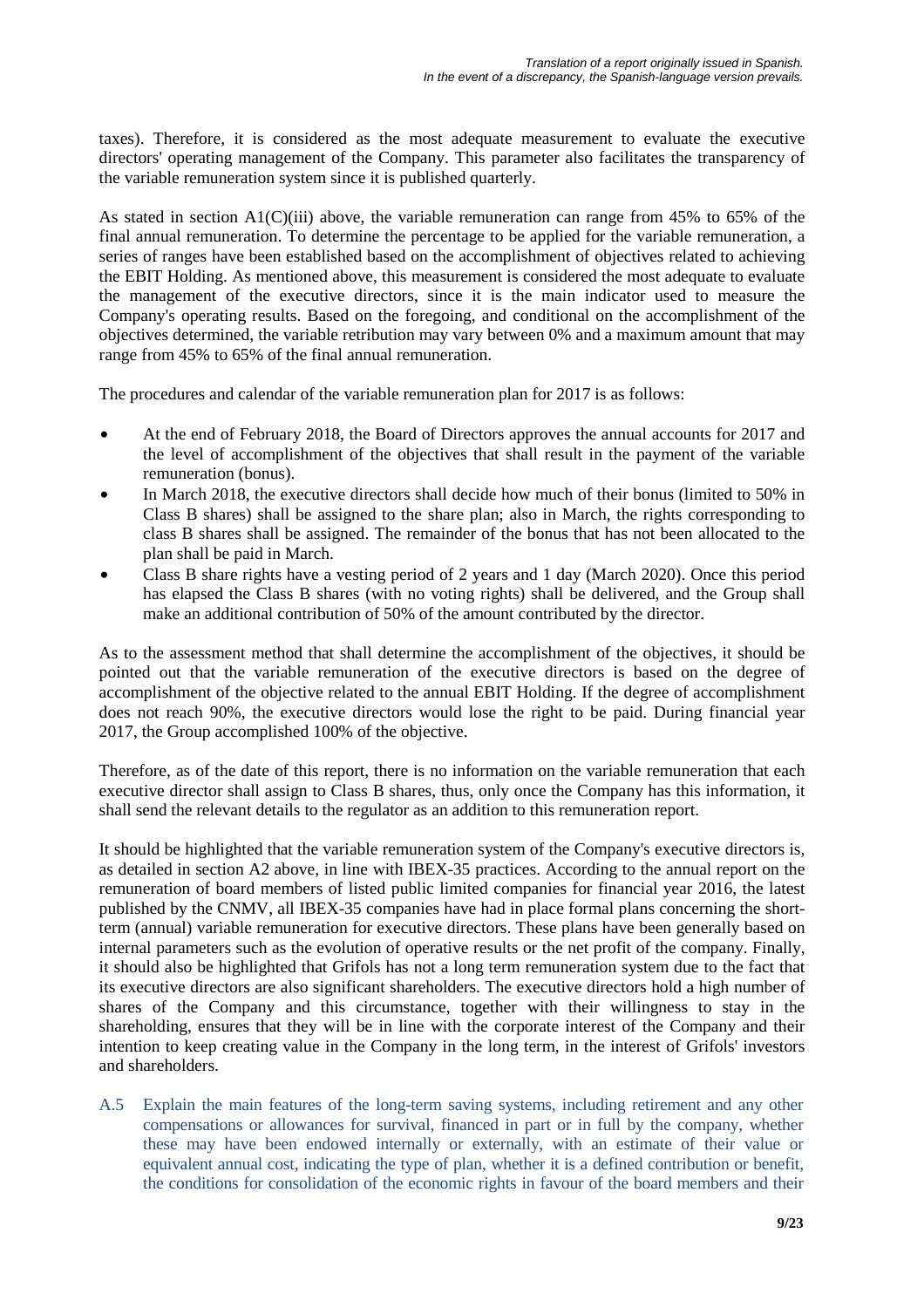taxes). Therefore, it is considered as the most adequate measurement to evaluate the executive directors' operating management of the Company. This parameter also facilitates the transparency of the variable remuneration system since it is published quarterly.

As stated in section A1(C)(iii) above, the variable remuneration can range from 45% to 65% of the final annual remuneration. To determine the percentage to be applied for the variable remuneration, a series of ranges have been established based on the accomplishment of objectives related to achieving the EBIT Holding. As mentioned above, this measurement is considered the most adequate to evaluate the management of the executive directors, since it is the main indicator used to measure the Company's operating results. Based on the foregoing, and conditional on the accomplishment of the objectives determined, the variable retribution may vary between 0% and a maximum amount that may range from 45% to 65% of the final annual remuneration.

The procedures and calendar of the variable remuneration plan for 2017 is as follows:

- At the end of February 2018, the Board of Directors approves the annual accounts for 2017 and the level of accomplishment of the objectives that shall result in the payment of the variable remuneration (bonus).
- In March 2018, the executive directors shall decide how much of their bonus (limited to 50% in Class B shares) shall be assigned to the share plan; also in March, the rights corresponding to class B shares shall be assigned. The remainder of the bonus that has not been allocated to the plan shall be paid in March.
- Class B share rights have a vesting period of 2 years and 1 day (March 2020). Once this period has elapsed the Class B shares (with no voting rights) shall be delivered, and the Group shall make an additional contribution of 50% of the amount contributed by the director.

As to the assessment method that shall determine the accomplishment of the objectives, it should be pointed out that the variable remuneration of the executive directors is based on the degree of accomplishment of the objective related to the annual EBIT Holding. If the degree of accomplishment does not reach 90%, the executive directors would lose the right to be paid. During financial year 2017, the Group accomplished 100% of the objective.

Therefore, as of the date of this report, there is no information on the variable remuneration that each executive director shall assign to Class B shares, thus, only once the Company has this information, it shall send the relevant details to the regulator as an addition to this remuneration report.

It should be highlighted that the variable remuneration system of the Company's executive directors is, as detailed in section A2 above, in line with IBEX-35 practices. According to the annual report on the remuneration of board members of listed public limited companies for financial year 2016, the latest published by the CNMV, all IBEX-35 companies have had in place formal plans concerning the shortterm (annual) variable remuneration for executive directors. These plans have been generally based on internal parameters such as the evolution of operative results or the net profit of the company. Finally, it should also be highlighted that Grifols has not a long term remuneration system due to the fact that its executive directors are also significant shareholders. The executive directors hold a high number of shares of the Company and this circumstance, together with their willingness to stay in the shareholding, ensures that they will be in line with the corporate interest of the Company and their intention to keep creating value in the Company in the long term, in the interest of Grifols' investors and shareholders.

A.5 Explain the main features of the long-term saving systems, including retirement and any other compensations or allowances for survival, financed in part or in full by the company, whether these may have been endowed internally or externally, with an estimate of their value or equivalent annual cost, indicating the type of plan, whether it is a defined contribution or benefit, the conditions for consolidation of the economic rights in favour of the board members and their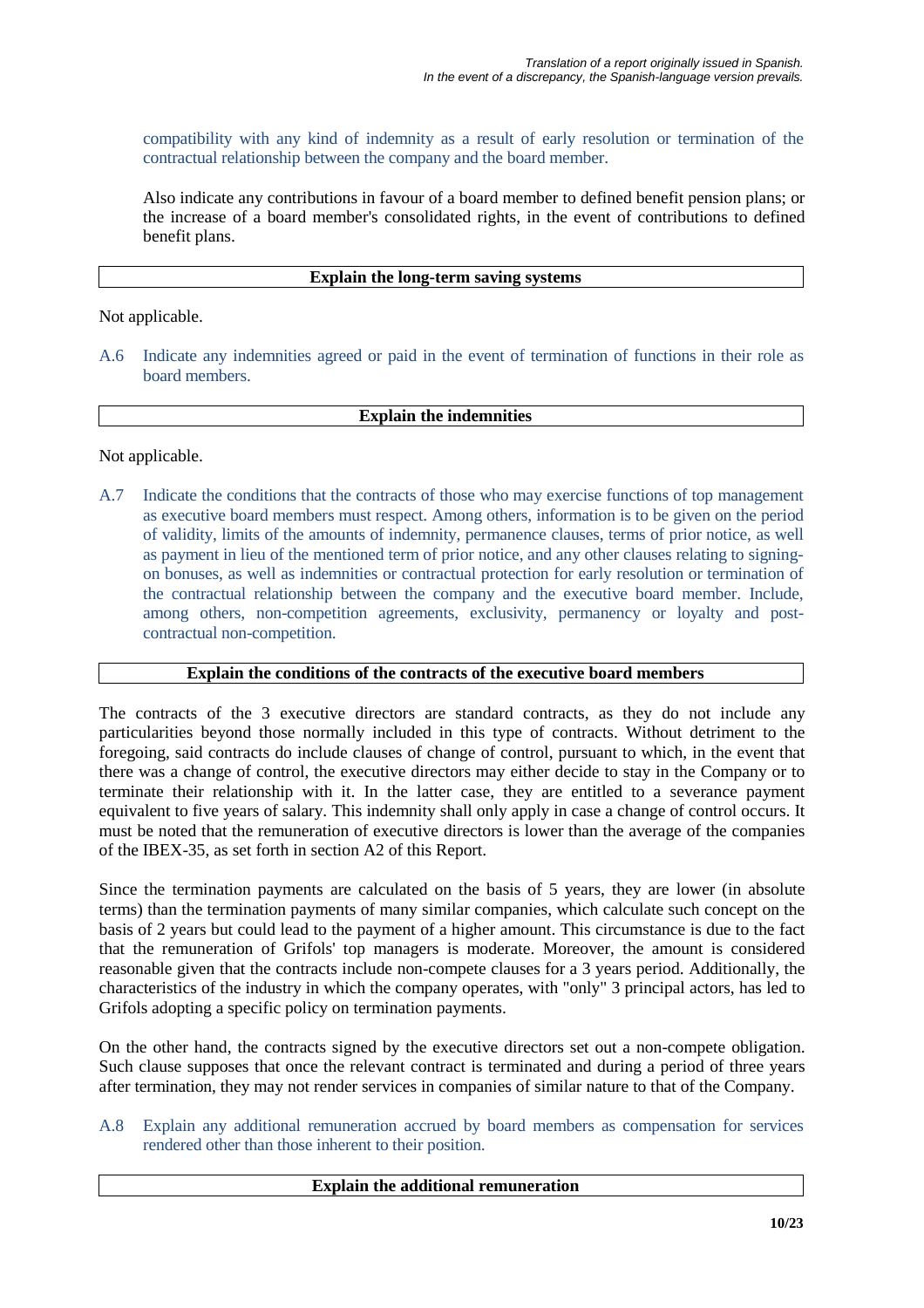compatibility with any kind of indemnity as a result of early resolution or termination of the contractual relationship between the company and the board member.

Also indicate any contributions in favour of a board member to defined benefit pension plans; or the increase of a board member's consolidated rights, in the event of contributions to defined benefit plans.

#### **Explain the long-term saving systems**

Not applicable.

A.6 Indicate any indemnities agreed or paid in the event of termination of functions in their role as board members.

## **Explain the indemnities**

Not applicable.

A.7 Indicate the conditions that the contracts of those who may exercise functions of top management as executive board members must respect. Among others, information is to be given on the period of validity, limits of the amounts of indemnity, permanence clauses, terms of prior notice, as well as payment in lieu of the mentioned term of prior notice, and any other clauses relating to signingon bonuses, as well as indemnities or contractual protection for early resolution or termination of the contractual relationship between the company and the executive board member. Include, among others, non-competition agreements, exclusivity, permanency or loyalty and postcontractual non-competition.

## **Explain the conditions of the contracts of the executive board members**

The contracts of the 3 executive directors are standard contracts, as they do not include any particularities beyond those normally included in this type of contracts. Without detriment to the foregoing, said contracts do include clauses of change of control, pursuant to which, in the event that there was a change of control, the executive directors may either decide to stay in the Company or to terminate their relationship with it. In the latter case, they are entitled to a severance payment equivalent to five years of salary. This indemnity shall only apply in case a change of control occurs. It must be noted that the remuneration of executive directors is lower than the average of the companies of the IBEX-35, as set forth in section A2 of this Report.

Since the termination payments are calculated on the basis of 5 years, they are lower (in absolute terms) than the termination payments of many similar companies, which calculate such concept on the basis of 2 years but could lead to the payment of a higher amount. This circumstance is due to the fact that the remuneration of Grifols' top managers is moderate. Moreover, the amount is considered reasonable given that the contracts include non-compete clauses for a 3 years period. Additionally, the characteristics of the industry in which the company operates, with "only" 3 principal actors, has led to Grifols adopting a specific policy on termination payments.

On the other hand, the contracts signed by the executive directors set out a non-compete obligation. Such clause supposes that once the relevant contract is terminated and during a period of three years after termination, they may not render services in companies of similar nature to that of the Company.

A.8 Explain any additional remuneration accrued by board members as compensation for services rendered other than those inherent to their position.

#### **Explain the additional remuneration**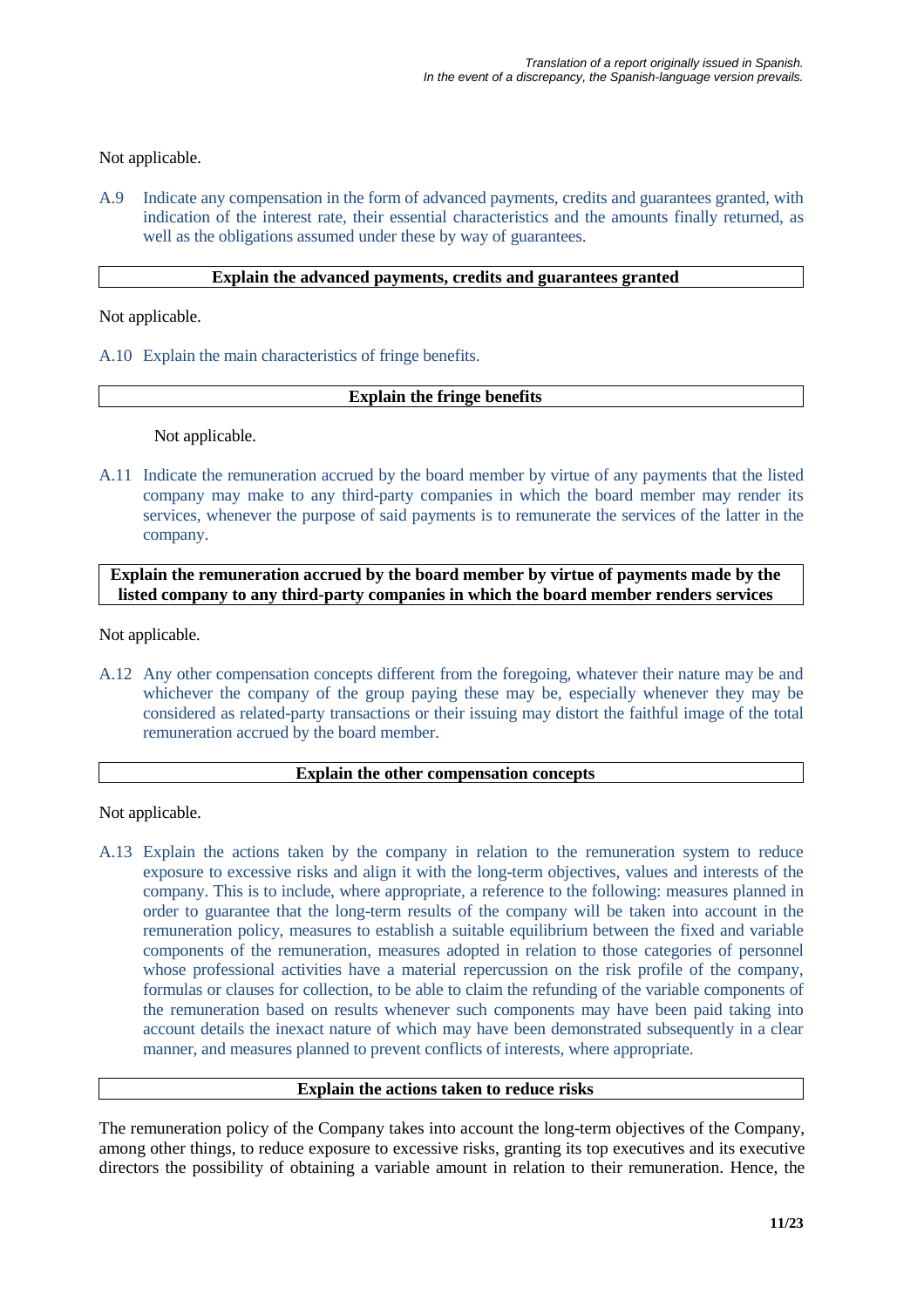## Not applicable.

A.9 Indicate any compensation in the form of advanced payments, credits and guarantees granted, with indication of the interest rate, their essential characteristics and the amounts finally returned, as well as the obligations assumed under these by way of guarantees.

#### **Explain the advanced payments, credits and guarantees granted**

Not applicable.

A.10 Explain the main characteristics of fringe benefits.

#### **Explain the fringe benefits**

Not applicable.

A.11 Indicate the remuneration accrued by the board member by virtue of any payments that the listed company may make to any third-party companies in which the board member may render its services, whenever the purpose of said payments is to remunerate the services of the latter in the company.

**Explain the remuneration accrued by the board member by virtue of payments made by the listed company to any third-party companies in which the board member renders services**

Not applicable.

A.12 Any other compensation concepts different from the foregoing, whatever their nature may be and whichever the company of the group paying these may be, especially whenever they may be considered as related-party transactions or their issuing may distort the faithful image of the total remuneration accrued by the board member.

#### **Explain the other compensation concepts**

Not applicable.

A.13 Explain the actions taken by the company in relation to the remuneration system to reduce exposure to excessive risks and align it with the long-term objectives, values and interests of the company. This is to include, where appropriate, a reference to the following: measures planned in order to guarantee that the long-term results of the company will be taken into account in the remuneration policy, measures to establish a suitable equilibrium between the fixed and variable components of the remuneration, measures adopted in relation to those categories of personnel whose professional activities have a material repercussion on the risk profile of the company, formulas or clauses for collection, to be able to claim the refunding of the variable components of the remuneration based on results whenever such components may have been paid taking into account details the inexact nature of which may have been demonstrated subsequently in a clear manner, and measures planned to prevent conflicts of interests, where appropriate.

## **Explain the actions taken to reduce risks**

The remuneration policy of the Company takes into account the long-term objectives of the Company, among other things, to reduce exposure to excessive risks, granting its top executives and its executive directors the possibility of obtaining a variable amount in relation to their remuneration. Hence, the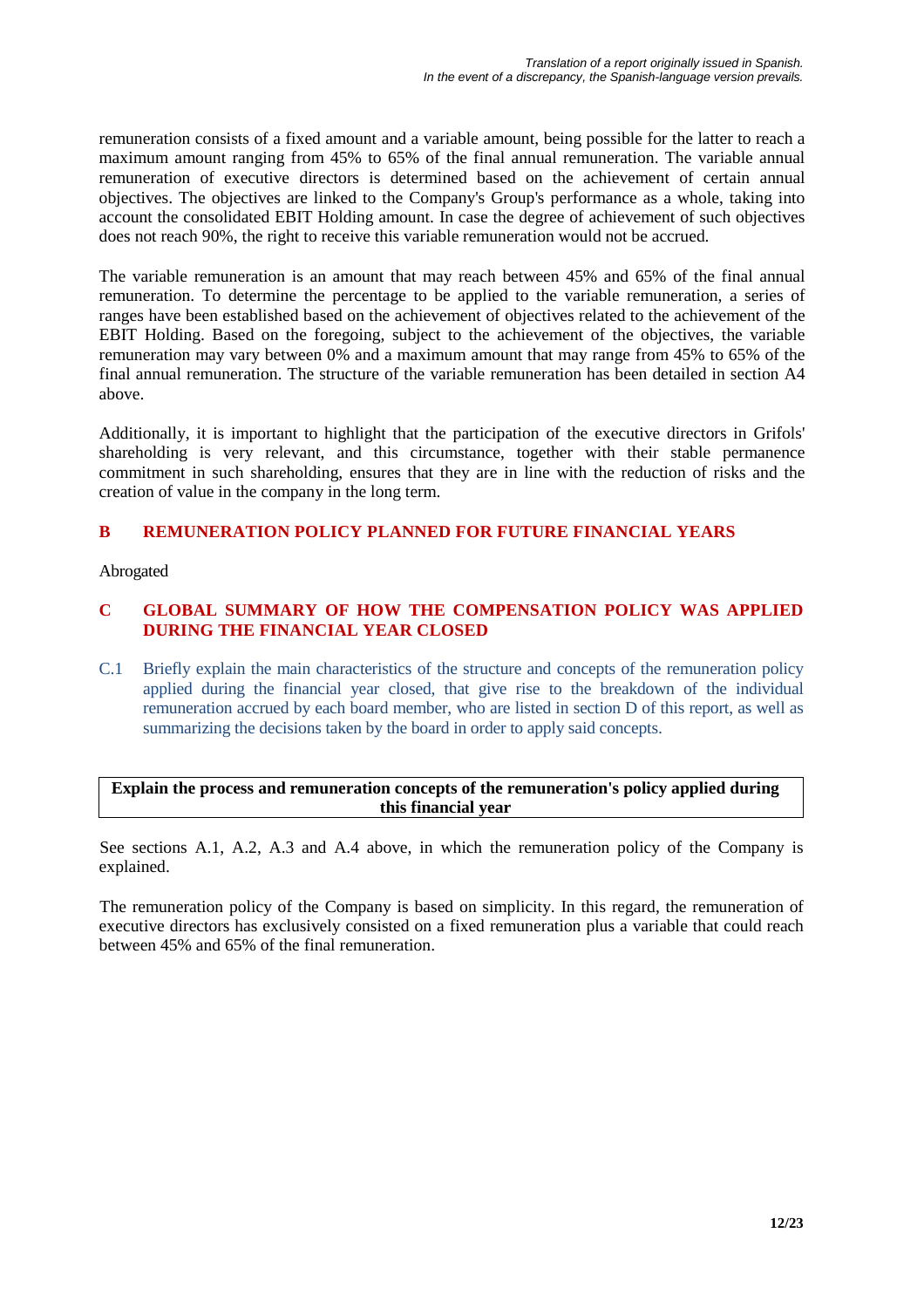remuneration consists of a fixed amount and a variable amount, being possible for the latter to reach a maximum amount ranging from 45% to 65% of the final annual remuneration. The variable annual remuneration of executive directors is determined based on the achievement of certain annual objectives. The objectives are linked to the Company's Group's performance as a whole, taking into account the consolidated EBIT Holding amount. In case the degree of achievement of such objectives does not reach 90%, the right to receive this variable remuneration would not be accrued.

The variable remuneration is an amount that may reach between 45% and 65% of the final annual remuneration. To determine the percentage to be applied to the variable remuneration, a series of ranges have been established based on the achievement of objectives related to the achievement of the EBIT Holding. Based on the foregoing, subject to the achievement of the objectives, the variable remuneration may vary between 0% and a maximum amount that may range from 45% to 65% of the final annual remuneration. The structure of the variable remuneration has been detailed in section A4 above.

Additionally, it is important to highlight that the participation of the executive directors in Grifols' shareholding is very relevant, and this circumstance, together with their stable permanence commitment in such shareholding, ensures that they are in line with the reduction of risks and the creation of value in the company in the long term.

# **B REMUNERATION POLICY PLANNED FOR FUTURE FINANCIAL YEARS**

Abrogated

## **C GLOBAL SUMMARY OF HOW THE COMPENSATION POLICY WAS APPLIED DURING THE FINANCIAL YEAR CLOSED**

C.1 Briefly explain the main characteristics of the structure and concepts of the remuneration policy applied during the financial year closed, that give rise to the breakdown of the individual remuneration accrued by each board member, who are listed in section D of this report, as well as summarizing the decisions taken by the board in order to apply said concepts.

## **Explain the process and remuneration concepts of the remuneration's policy applied during this financial year**

See sections A.1, A.2, A.3 and A.4 above, in which the remuneration policy of the Company is explained.

The remuneration policy of the Company is based on simplicity. In this regard, the remuneration of executive directors has exclusively consisted on a fixed remuneration plus a variable that could reach between 45% and 65% of the final remuneration.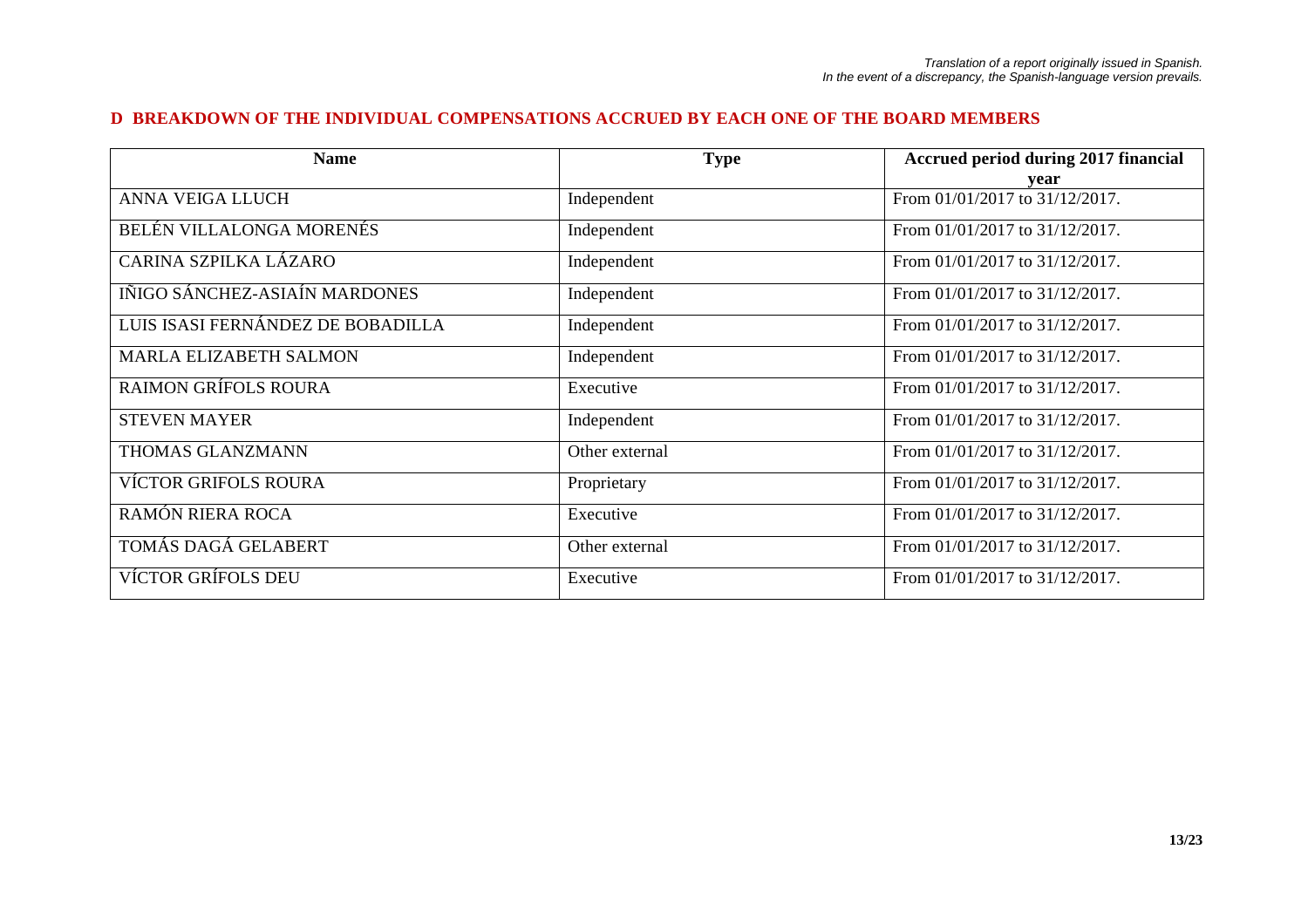#### **D BREAKDOWN OF THE INDIVIDUAL COMPENSATIONS ACCRUED BY EACH ONE OF THE BOARD MEMBERS**

| <b>Name</b>                       | <b>Type</b>    | Accrued period during 2017 financial |
|-----------------------------------|----------------|--------------------------------------|
|                                   |                | vear                                 |
| ANNA VEIGA LLUCH                  | Independent    | From 01/01/2017 to 31/12/2017.       |
| BELÉN VILLALONGA MORENÉS          | Independent    | From 01/01/2017 to 31/12/2017.       |
| CARINA SZPILKA LÁZARO             | Independent    | From 01/01/2017 to 31/12/2017.       |
| IÑIGO SÁNCHEZ-ASIAÍN MARDONES     | Independent    | From 01/01/2017 to 31/12/2017.       |
| LUIS ISASI FERNÁNDEZ DE BOBADILLA | Independent    | From 01/01/2017 to 31/12/2017.       |
| <b>MARLA ELIZABETH SALMON</b>     | Independent    | From 01/01/2017 to 31/12/2017.       |
| <b>RAIMON GRÍFOLS ROURA</b>       | Executive      | From 01/01/2017 to 31/12/2017.       |
| <b>STEVEN MAYER</b>               | Independent    | From 01/01/2017 to 31/12/2017.       |
| THOMAS GLANZMANN                  | Other external | From 01/01/2017 to 31/12/2017.       |
| <b>VÍCTOR GRIFOLS ROURA</b>       | Proprietary    | From 01/01/2017 to 31/12/2017.       |
| RAMÓN RIERA ROCA                  | Executive      | From 01/01/2017 to 31/12/2017.       |
| TOMÁS DAGÁ GELABERT               | Other external | From 01/01/2017 to 31/12/2017.       |
| <b>VÍCTOR GRÍFOLS DEU</b>         | Executive      | From 01/01/2017 to 31/12/2017.       |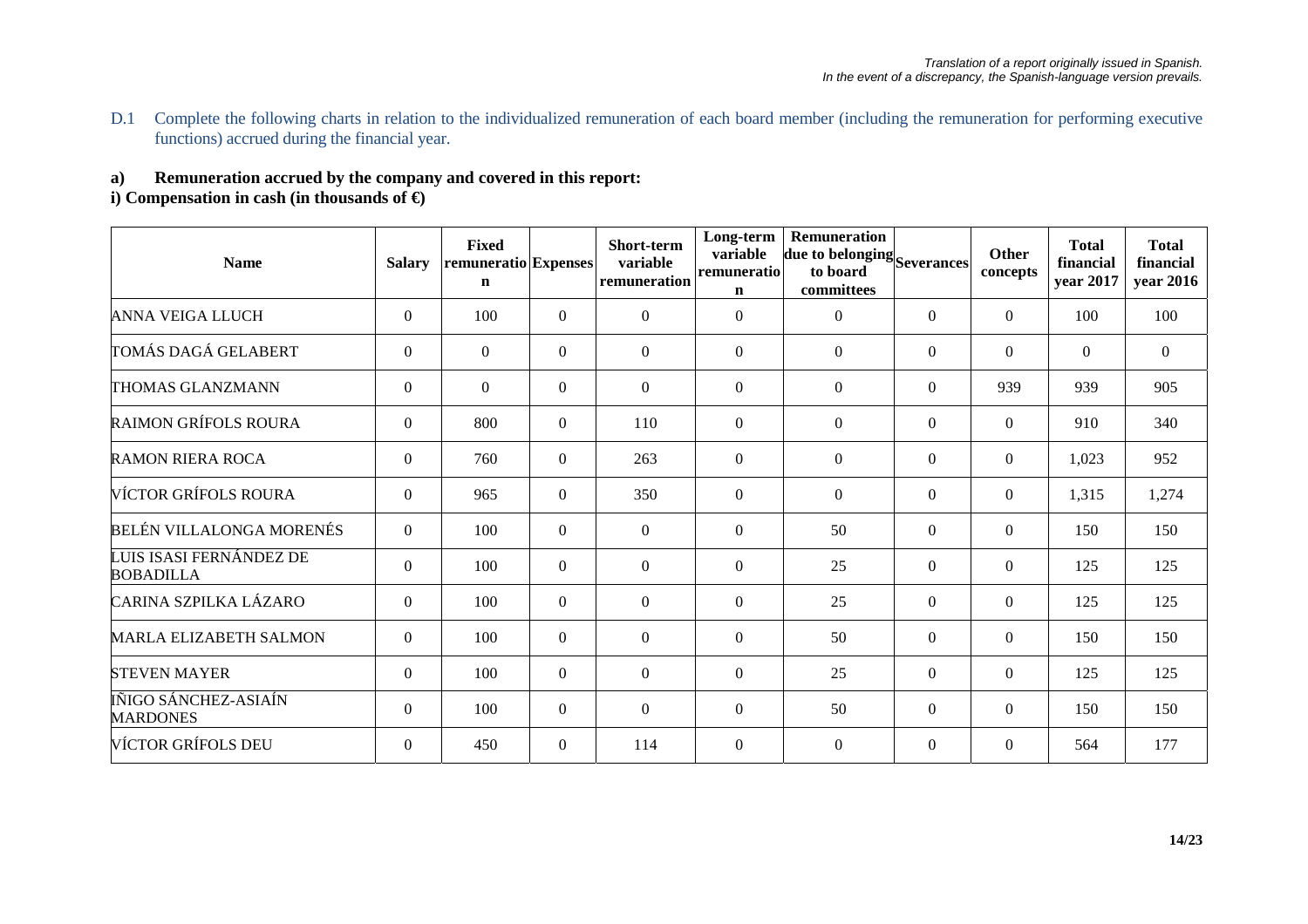D.1 Complete the following charts in relation to the individualized remuneration of each board member (including the remuneration for performing executive functions) accrued during the financial year.

# **a) Remuneration accrued by the company and covered in this report:**

# **i) Compensation in cash (in thousands of €)**

| <b>Name</b>                                 | <b>Salary</b>    | <b>Fixed</b><br>remuneratio Expenses<br>$\mathbf n$ |                  | Short-term<br>variable<br>remuneration | Long-term<br>variable<br>remuneratio<br>$\mathbf n$ | Remuneration<br>due to belonging Severances<br>to board<br>committees |                  | Other<br>concepts | <b>Total</b><br>financial<br>year 2017 | <b>Total</b><br>financial<br>year 2016 |
|---------------------------------------------|------------------|-----------------------------------------------------|------------------|----------------------------------------|-----------------------------------------------------|-----------------------------------------------------------------------|------------------|-------------------|----------------------------------------|----------------------------------------|
| <b>ANNA VEIGA LLUCH</b>                     | $\overline{0}$   | 100                                                 | $\Omega$         | $\theta$                               | $\Omega$                                            | $\Omega$                                                              | $\Omega$         | $\theta$          | 100                                    | 100                                    |
| TOMÁS DAGÁ GELABERT                         | $\overline{0}$   | $\boldsymbol{0}$                                    | $\Omega$         | $\boldsymbol{0}$                       | $\mathbf{0}$                                        | $\mathbf{0}$                                                          | $\overline{0}$   | $\overline{0}$    | $\boldsymbol{0}$                       | $\boldsymbol{0}$                       |
| THOMAS GLANZMANN                            | $\overline{0}$   | $\Omega$                                            | $\Omega$         | $\theta$                               | $\Omega$                                            | $\mathbf{0}$                                                          | $\boldsymbol{0}$ | 939               | 939                                    | 905                                    |
| <b>RAIMON GRÍFOLS ROURA</b>                 | $\boldsymbol{0}$ | 800                                                 | $\theta$         | 110                                    | $\mathbf{0}$                                        | $\mathbf{0}$                                                          | $\overline{0}$   | $\Omega$          | 910                                    | 340                                    |
| <b>RAMON RIERA ROCA</b>                     | $\overline{0}$   | 760                                                 | $\Omega$         | 263                                    | $\overline{0}$                                      | $\overline{0}$                                                        | $\Omega$         | $\Omega$          | 1,023                                  | 952                                    |
| VÍCTOR GRÍFOLS ROURA                        | $\boldsymbol{0}$ | 965                                                 | $\mathbf{0}$     | 350                                    | $\mathbf{0}$                                        | $\mathbf{0}$                                                          | $\overline{0}$   | $\overline{0}$    | 1,315                                  | 1,274                                  |
| BELÉN VILLALONGA MORENÉS                    | $\overline{0}$   | 100                                                 | $\mathbf{0}$     | $\overline{0}$                         | $\mathbf{0}$                                        | 50                                                                    | $\boldsymbol{0}$ | $\overline{0}$    | 150                                    | 150                                    |
| LUIS ISASI FERNÁNDEZ DE<br><b>BOBADILLA</b> | $\overline{0}$   | 100                                                 | $\mathbf{0}$     | $\boldsymbol{0}$                       | $\mathbf{0}$                                        | 25                                                                    | $\overline{0}$   | $\overline{0}$    | 125                                    | 125                                    |
| CARINA SZPILKA LÁZARO                       | $\overline{0}$   | 100                                                 | $\Omega$         | $\boldsymbol{0}$                       | $\Omega$                                            | 25                                                                    | $\Omega$         | $\Omega$          | 125                                    | 125                                    |
| <b>MARLA ELIZABETH SALMON</b>               | $\overline{0}$   | 100                                                 | $\boldsymbol{0}$ | $\boldsymbol{0}$                       | $\boldsymbol{0}$                                    | 50                                                                    | $\overline{0}$   | $\overline{0}$    | 150                                    | 150                                    |
| <b>STEVEN MAYER</b>                         | $\boldsymbol{0}$ | 100                                                 | $\overline{0}$   | $\overline{0}$                         | $\mathbf{0}$                                        | 25                                                                    | $\boldsymbol{0}$ | $\overline{0}$    | 125                                    | 125                                    |
| IÑIGO SÁNCHEZ-ASIAÍN<br><b>MARDONES</b>     | $\boldsymbol{0}$ | 100                                                 | $\mathbf{0}$     | $\boldsymbol{0}$                       | $\mathbf{0}$                                        | 50                                                                    | $\boldsymbol{0}$ | $\overline{0}$    | 150                                    | 150                                    |
| VÍCTOR GRÍFOLS DEU                          | $\overline{0}$   | 450                                                 | $\Omega$         | 114                                    | $\Omega$                                            | $\Omega$                                                              | $\Omega$         | $\overline{0}$    | 564                                    | 177                                    |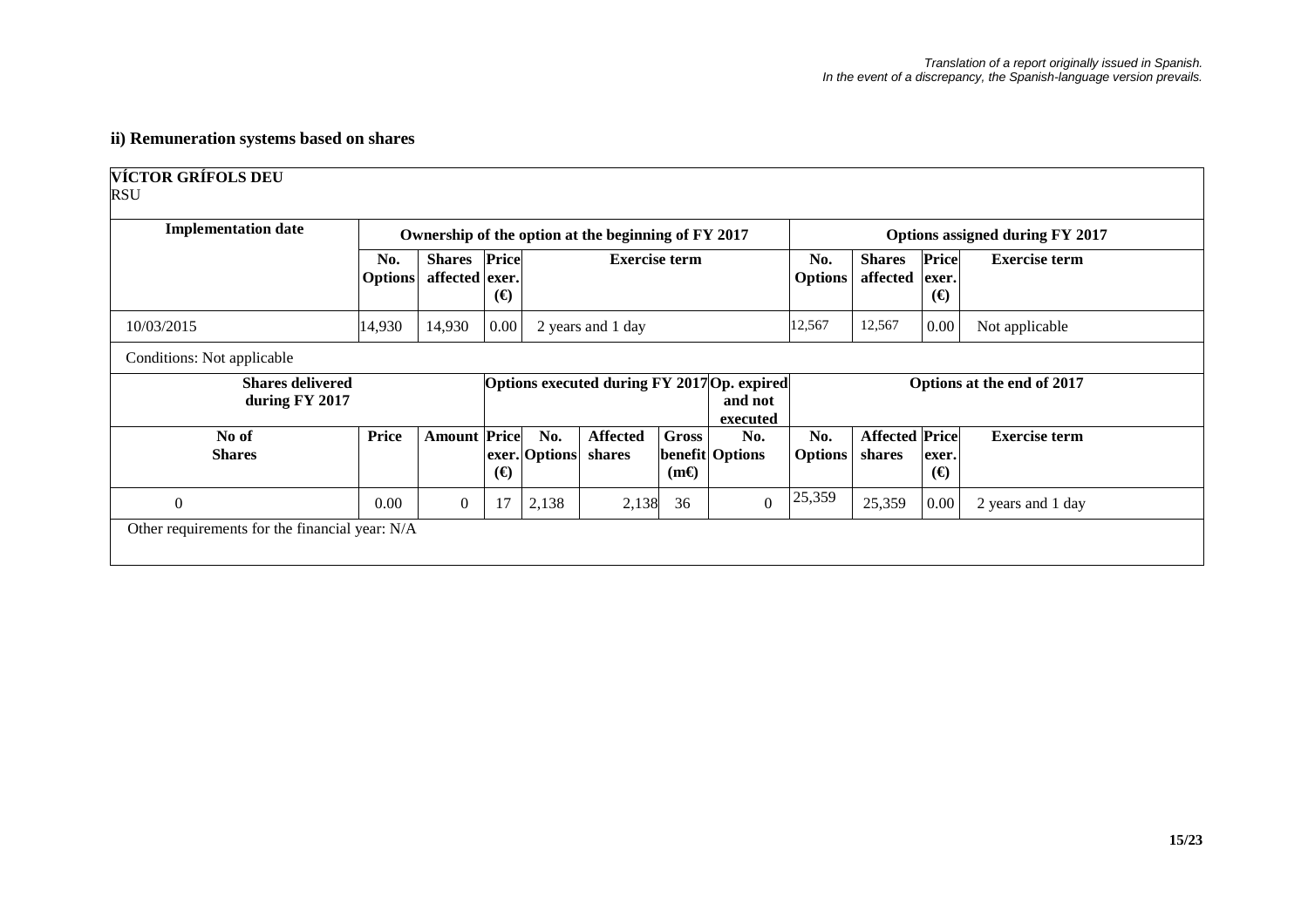# **ii) Remuneration systems based on shares**

| <b>Implementation date</b>                |                       |                                       |          |                      | Ownership of the option at the beginning of FY 2017 |                      |                                                                    | Options assigned during FY 2017 |                                 |                            |                            |
|-------------------------------------------|-----------------------|---------------------------------------|----------|----------------------|-----------------------------------------------------|----------------------|--------------------------------------------------------------------|---------------------------------|---------------------------------|----------------------------|----------------------------|
|                                           | No.<br><b>Options</b> | <b>Shares</b> Price<br>affected exer. | $\Theta$ |                      | <b>Exercise term</b>                                |                      |                                                                    | No.<br><b>Options</b>           | <b>Shares</b><br>affected       | Price<br>exer.<br>$\Theta$ | <b>Exercise term</b>       |
| 10/03/2015                                | 14,930                | 14,930                                | 0.00     |                      | 2 years and 1 day                                   |                      |                                                                    | 12,567                          | 12,567                          | 0.00                       | Not applicable             |
| Conditions: Not applicable                |                       |                                       |          |                      |                                                     |                      |                                                                    |                                 |                                 |                            |                            |
| <b>Shares delivered</b><br>during FY 2017 |                       |                                       |          |                      |                                                     |                      | Options executed during FY 2017 Op. expired<br>and not<br>executed |                                 |                                 |                            | Options at the end of 2017 |
| No of<br><b>Shares</b>                    | <b>Price</b>          | <b>Amount Price</b>                   | $\Theta$ | No.<br>exer. Options | <b>Affected</b><br>shares                           | Gross<br>$(m\Theta)$ | No.<br>benefit Options                                             | No.<br><b>Options</b>           | <b>Affected Price</b><br>shares | exer.<br>$\Theta$          | <b>Exercise term</b>       |
|                                           |                       |                                       |          |                      |                                                     |                      |                                                                    | 25,359                          |                                 |                            |                            |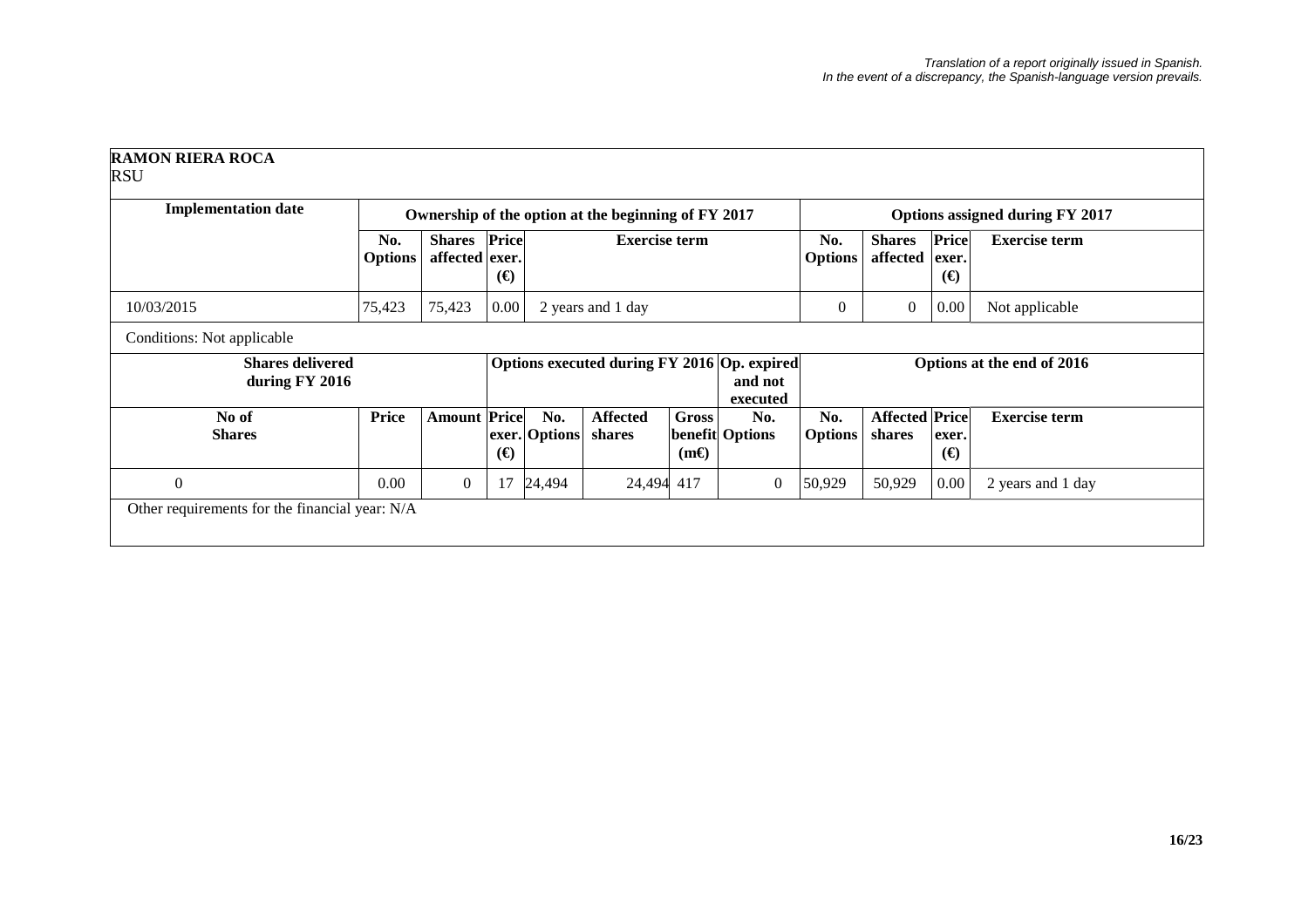| <b>Implementation date</b>                |                       | Ownership of the option at the beginning of FY 2017 |          |                      | Options assigned during FY 2017             |                             |                               |                            |                                 |                                   |                      |
|-------------------------------------------|-----------------------|-----------------------------------------------------|----------|----------------------|---------------------------------------------|-----------------------------|-------------------------------|----------------------------|---------------------------------|-----------------------------------|----------------------|
|                                           | No.<br><b>Options</b> | <b>Shares</b> Price<br>affected exer.               | $\Theta$ |                      | <b>Exercise term</b>                        |                             |                               | No.<br><b>Options</b>      | <b>Shares</b><br>affected       | <b>Price</b><br>exer.<br>$\Theta$ | <b>Exercise term</b> |
| 10/03/2015                                | 75,423                | 75,423                                              | 0.00     |                      | 2 years and 1 day                           |                             |                               | $\overline{0}$             | $\theta$                        | 0.00                              | Not applicable       |
| Conditions: Not applicable                |                       |                                                     |          |                      |                                             |                             |                               |                            |                                 |                                   |                      |
| <b>Shares delivered</b><br>during FY 2016 |                       |                                                     |          |                      | Options executed during FY 2016 Op. expired |                             | and not<br>executed           | Options at the end of 2016 |                                 |                                   |                      |
| No of<br><b>Shares</b>                    | <b>Price</b>          | <b>Amount Price</b>                                 | $\Theta$ | No.<br>exer. Options | <b>Affected</b><br>shares                   | <b>Gross</b><br>$(m\Theta)$ | No.<br><b>benefit Options</b> | No.<br><b>Options</b>      | <b>Affected Price</b><br>shares | exer.<br>$(\boldsymbol{\Theta})$  | <b>Exercise term</b> |
|                                           | 0.00                  | $\boldsymbol{0}$                                    | 17       | 24,494               | 24,494 417                                  |                             | $\boldsymbol{0}$              | 50,929                     | 50,929                          | 0.00                              | 2 years and 1 day    |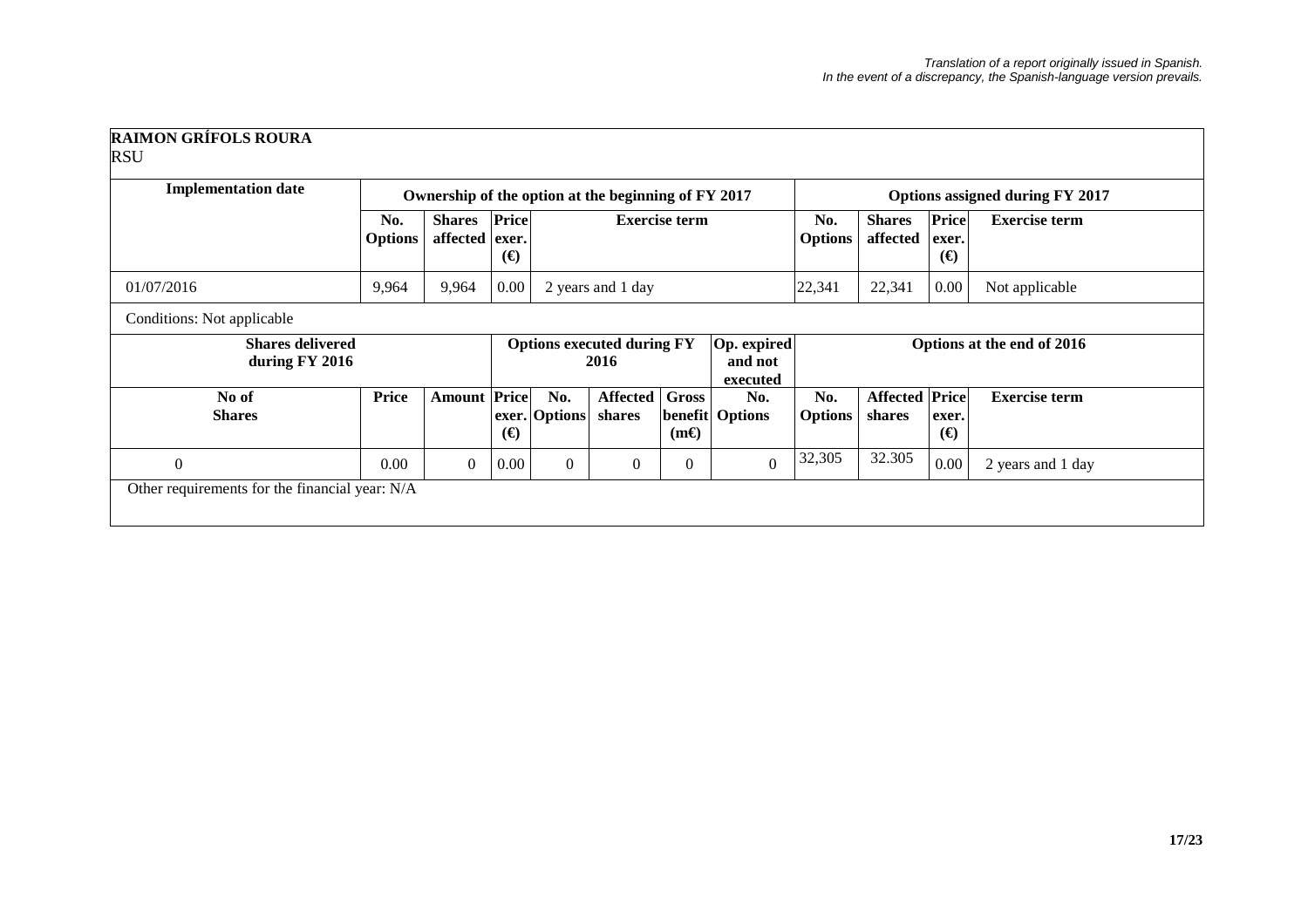| <b>RAIMON GRÍFOLS ROURA</b> |  |
|-----------------------------|--|
| <b>RSU</b>                  |  |

| <b>Implementation date</b>                     |                       |                                 | Ownership of the option at the beginning of FY 2017 |                                                                                 |                           |                                        |                            |                           | Options assigned during FY 2017 |                      |                      |  |
|------------------------------------------------|-----------------------|---------------------------------|-----------------------------------------------------|---------------------------------------------------------------------------------|---------------------------|----------------------------------------|----------------------------|---------------------------|---------------------------------|----------------------|----------------------|--|
|                                                | No.<br><b>Options</b> | <b>Shares</b><br>affected exer. | Price<br>$\Theta$                                   | <b>Exercise term</b>                                                            |                           |                                        | No.<br><b>Options</b>      | <b>Shares</b><br>affected | Price<br>exer.<br>$\Theta$      | <b>Exercise term</b> |                      |  |
| 01/07/2016                                     | 9,964                 | 9,964                           | 0.00                                                |                                                                                 | 2 years and 1 day         |                                        |                            | 22,341                    | 22,341                          | 0.00                 | Not applicable       |  |
| Conditions: Not applicable                     |                       |                                 |                                                     |                                                                                 |                           |                                        |                            |                           |                                 |                      |                      |  |
| <b>Shares delivered</b><br>during FY 2016      |                       |                                 |                                                     | Op. expired<br><b>Options executed during FY</b><br>2016<br>and not<br>executed |                           |                                        | Options at the end of 2016 |                           |                                 |                      |                      |  |
| No of<br><b>Shares</b>                         | Price                 | <b>Amount Price</b>             | $\Theta$                                            | No.<br>exer. Options                                                            | <b>Affected</b><br>shares | <b>Gross</b><br>benefit<br>$(m\Theta)$ | No.<br><b>Options</b>      | No.<br><b>Options</b>     | <b>Affected Price</b><br>shares | exer.<br>$\Theta$    | <b>Exercise term</b> |  |
| $\theta$                                       | 0.00                  | $\overline{0}$                  | 0.00                                                | $\mathbf{0}$                                                                    | $\mathbf{0}$              | $\theta$                               | $\Omega$                   | 32,305                    | 32.305                          | 0.00                 | 2 years and 1 day    |  |
| Other requirements for the financial year: N/A |                       |                                 |                                                     |                                                                                 |                           |                                        |                            |                           |                                 |                      |                      |  |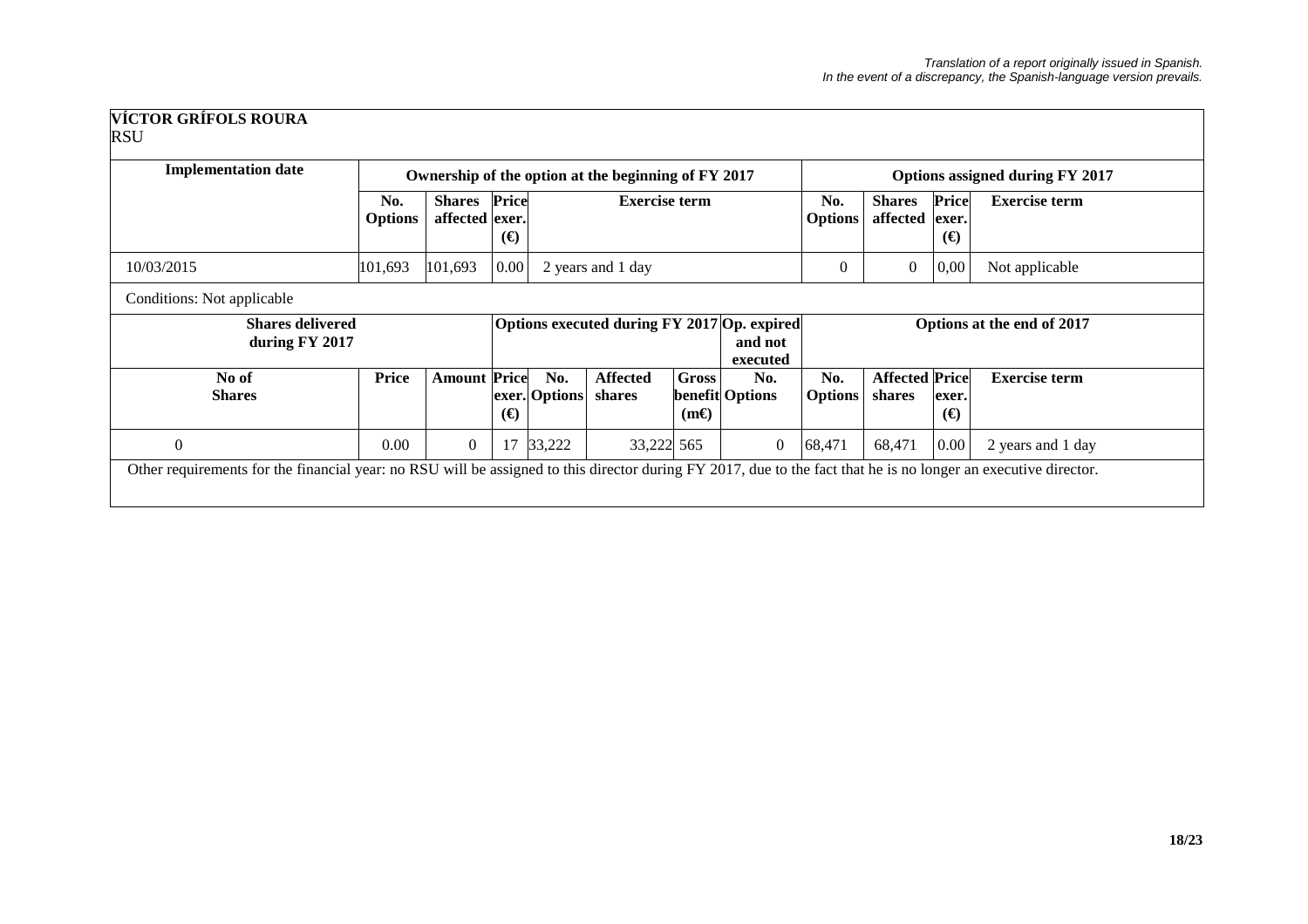| <b>Implementation date</b>                |                       | Ownership of the option at the beginning of FY 2017<br>Options assigned during FY 2017 |                   |                      |                                             |                             |                               |                            |                                 |                                   |                      |  |
|-------------------------------------------|-----------------------|----------------------------------------------------------------------------------------|-------------------|----------------------|---------------------------------------------|-----------------------------|-------------------------------|----------------------------|---------------------------------|-----------------------------------|----------------------|--|
|                                           | No.<br><b>Options</b> | <b>Shares</b><br>affected exer.                                                        | Price<br>$\Theta$ | <b>Exercise term</b> |                                             |                             |                               | No.<br><b>Options</b>      | <b>Shares</b><br>affected       | <b>Price</b><br>exer.<br>$\Theta$ | <b>Exercise term</b> |  |
| 10/03/2015                                | 101,693               | 101,693                                                                                | 0.00              |                      | 2 years and 1 day                           |                             |                               | $\mathbf{0}$               | $\overline{0}$                  | 0,00                              | Not applicable       |  |
| Conditions: Not applicable                |                       |                                                                                        |                   |                      |                                             |                             |                               |                            |                                 |                                   |                      |  |
| <b>Shares delivered</b><br>during FY 2017 |                       |                                                                                        |                   |                      | Options executed during FY 2017 Op. expired |                             | and not<br>executed           | Options at the end of 2017 |                                 |                                   |                      |  |
| No of<br><b>Shares</b>                    | <b>Price</b>          | <b>Amount Price</b>                                                                    | $\Theta$          | No.<br>exer. Options | <b>Affected</b><br>shares                   | <b>Gross</b><br>$(m\Theta)$ | No.<br><b>benefit Options</b> | No.<br><b>Options</b>      | <b>Affected Price</b><br>shares | exer.<br>$\Theta$                 | <b>Exercise term</b> |  |
|                                           |                       |                                                                                        |                   |                      |                                             |                             |                               |                            |                                 |                                   |                      |  |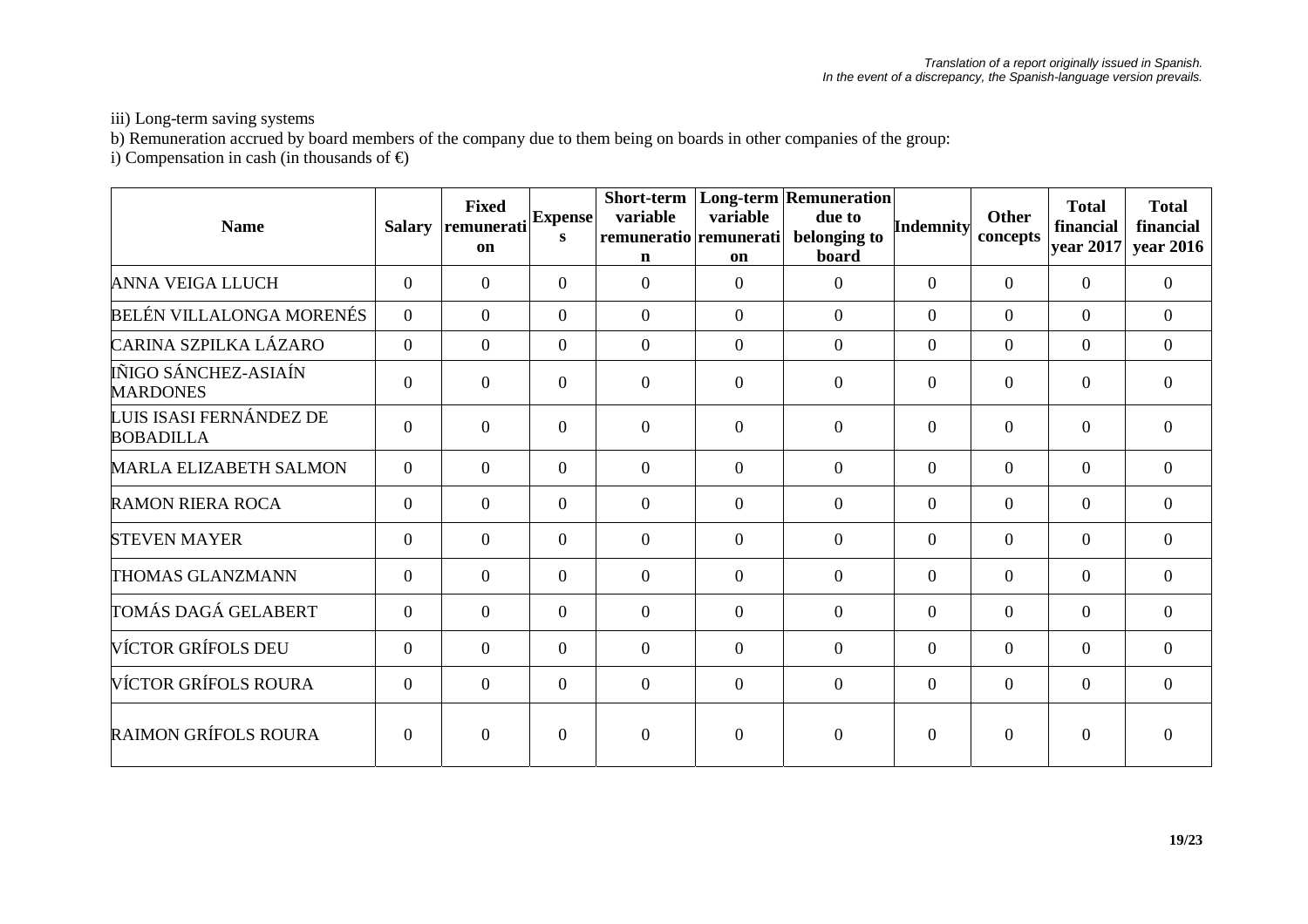iii) Long-term saving systems

b) Remuneration accrued by board members of the company due to them being on boards in other companies of the group:

i) Compensation in cash (in thousands of  $\Theta$ 

| <b>Name</b>                                 | <b>Salary</b>  | <b>Fixed</b><br>remunerati<br>on | <b>Expense</b><br>S | Short-term<br>variable<br>remuneratio remunerati<br>$\mathbf n$ | variable<br>on | <b>Long-term Remuneration</b><br>due to<br>belonging to<br>board | <b>Indemnity</b> | <b>Other</b><br>concepts | <b>Total</b><br>financial<br>year 2017 | <b>Total</b><br>financial<br>year 2016 |
|---------------------------------------------|----------------|----------------------------------|---------------------|-----------------------------------------------------------------|----------------|------------------------------------------------------------------|------------------|--------------------------|----------------------------------------|----------------------------------------|
| <b>ANNA VEIGA LLUCH</b>                     | $\overline{0}$ | $\theta$                         | $\theta$            | $\overline{0}$                                                  | $\overline{0}$ | $\overline{0}$                                                   | $\Omega$         | $\overline{0}$           | $\overline{0}$                         | $\overline{0}$                         |
| BELÉN VILLALONGA MORENÉS                    | $\theta$       | $\theta$                         | $\theta$            | $\overline{0}$                                                  | $\theta$       | $\Omega$                                                         | $\Omega$         | $\Omega$                 | $\overline{0}$                         | $\overline{0}$                         |
| CARINA SZPILKA LÁZARO                       | $\overline{0}$ | $\theta$                         | $\overline{0}$      | $\theta$                                                        | $\overline{0}$ | $\overline{0}$                                                   | $\Omega$         | $\overline{0}$           | $\overline{0}$                         | $\overline{0}$                         |
| IÑIGO SÁNCHEZ-ASIAÍN<br><b>MARDONES</b>     | $\overline{0}$ | $\theta$                         | $\overline{0}$      | $\boldsymbol{0}$                                                | $\overline{0}$ | $\overline{0}$                                                   | $\Omega$         | $\overline{0}$           | $\overline{0}$                         | $\overline{0}$                         |
| LUIS ISASI FERNÁNDEZ DE<br><b>BOBADILLA</b> | $\theta$       | $\theta$                         | $\overline{0}$      | $\boldsymbol{0}$                                                | $\Omega$       | $\overline{0}$                                                   | $\Omega$         | $\overline{0}$           | $\overline{0}$                         | $\theta$                               |
| <b>MARLA ELIZABETH SALMON</b>               | $\overline{0}$ | $\theta$                         | $\theta$            | $\overline{0}$                                                  | $\theta$       | $\theta$                                                         | $\Omega$         | $\Omega$                 | $\theta$                               | $\Omega$                               |
| <b>RAMON RIERA ROCA</b>                     | $\mathbf{0}$   | $\theta$                         | $\Omega$            | $\boldsymbol{0}$                                                | $\theta$       | $\overline{0}$                                                   | $\Omega$         | $\overline{0}$           | $\overline{0}$                         | $\overline{0}$                         |
| <b>STEVEN MAYER</b>                         | $\mathbf{0}$   | $\mathbf{0}$                     | $\overline{0}$      | $\boldsymbol{0}$                                                | $\overline{0}$ | $\boldsymbol{0}$                                                 | $\theta$         | $\overline{0}$           | $\mathbf{0}$                           | $\overline{0}$                         |
| THOMAS GLANZMANN                            | $\theta$       | $\theta$                         | $\theta$            | $\overline{0}$                                                  | $\theta$       | $\theta$                                                         | $\Omega$         | $\Omega$                 | $\theta$                               | $\Omega$                               |
| TOMÁS DAGÁ GELABERT                         | $\theta$       | $\theta$                         | $\Omega$            | $\overline{0}$                                                  | $\theta$       | $\theta$                                                         | $\Omega$         | $\overline{0}$           | $\overline{0}$                         | $\overline{0}$                         |
| VÍCTOR GRÍFOLS DEU                          | $\overline{0}$ | $\mathbf{0}$                     | $\overline{0}$      | $\boldsymbol{0}$                                                | $\overline{0}$ | $\overline{0}$                                                   | $\theta$         | $\overline{0}$           | $\overline{0}$                         | $\overline{0}$                         |
| VÍCTOR GRÍFOLS ROURA                        | $\overline{0}$ | $\theta$                         | $\Omega$            | $\overline{0}$                                                  | $\Omega$       | $\overline{0}$                                                   | $\Omega$         | $\Omega$                 | $\overline{0}$                         | $\Omega$                               |
| <b>RAIMON GRÍFOLS ROURA</b>                 | $\Omega$       | $\Omega$                         | $\Omega$            | $\overline{0}$                                                  | $\Omega$       | $\theta$                                                         | $\Omega$         | $\Omega$                 | $\theta$                               |                                        |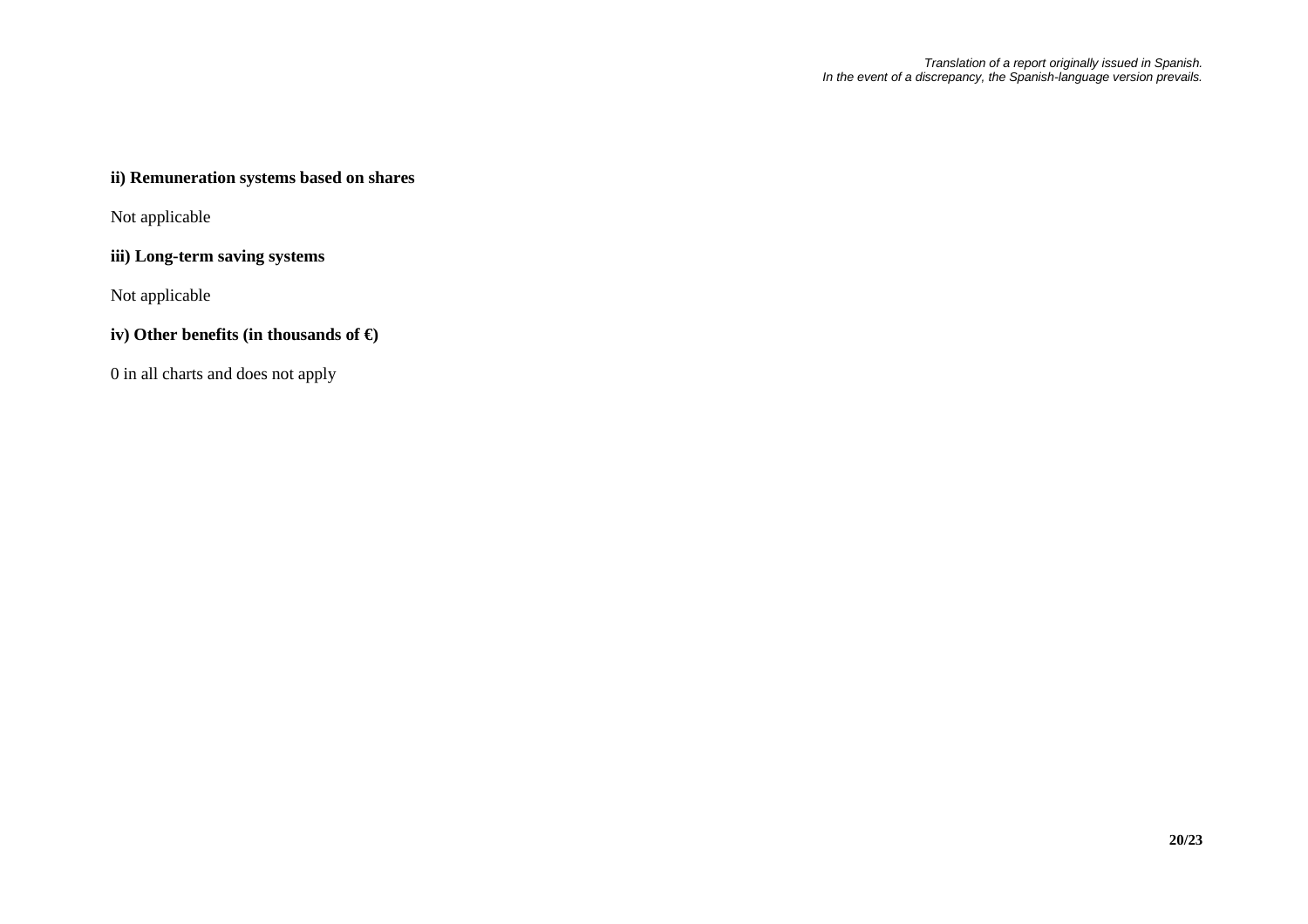# **ii) Remuneration systems based on shares**

Not applicable

## **iii) Long-term saving systems**

Not applicable

# **iv) Other benefits (in thousands of €)**

0 in all charts and does not apply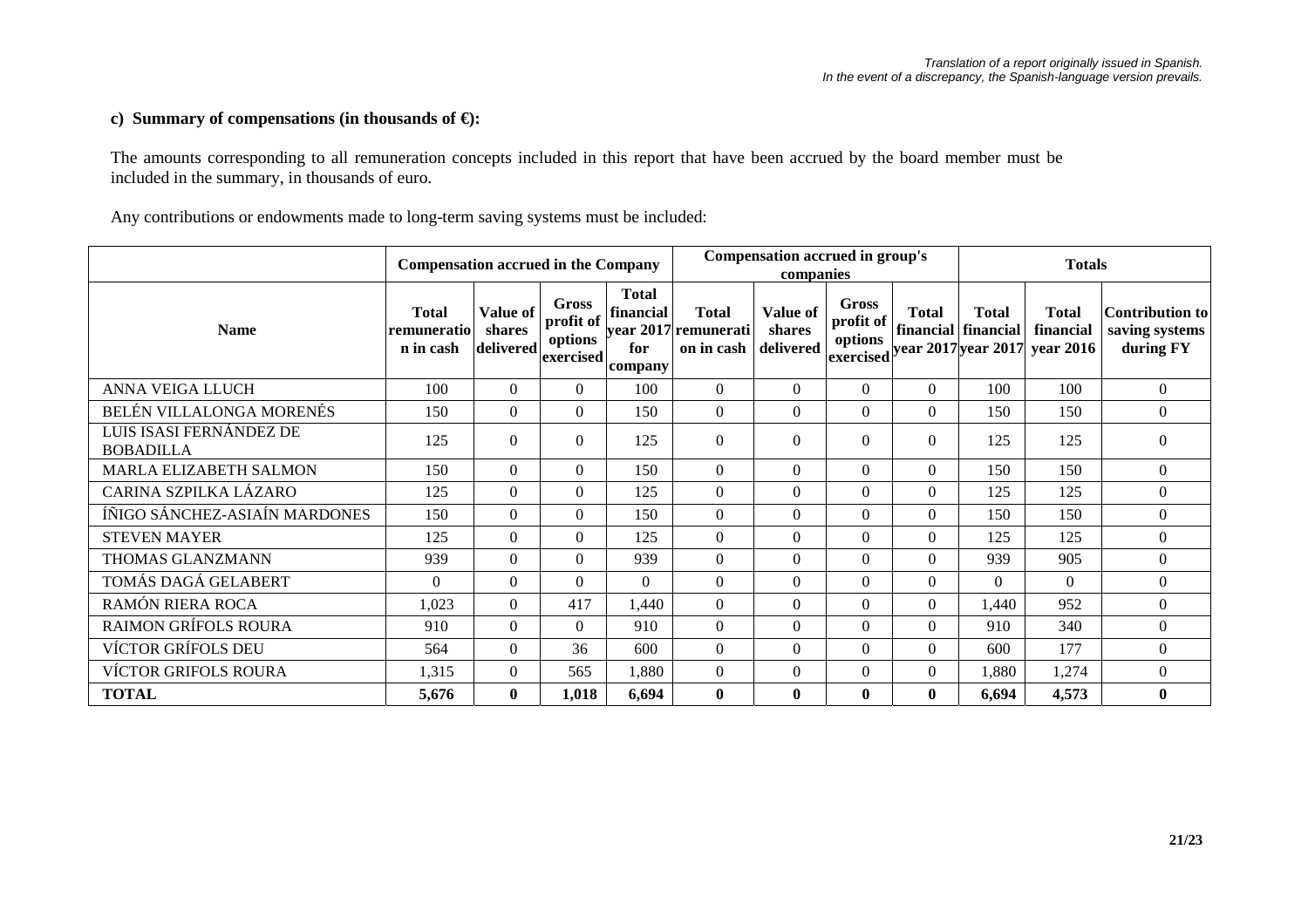## **c) Summary of compensations (in thousands of €):**

The amounts corresponding to all remuneration concepts included in this report that have been accrued by the board member must be included in the summary, in thousands of euro.

Any contributions or endowments made to long-term saving systems must be included:

|                                             | <b>Compensation accrued in the Company</b> |                                 |                                            |                                             |                                                    | Compensation accrued in group's<br>companies |                                            |                              |                                     | <b>Totals</b>                          |                                                       |
|---------------------------------------------|--------------------------------------------|---------------------------------|--------------------------------------------|---------------------------------------------|----------------------------------------------------|----------------------------------------------|--------------------------------------------|------------------------------|-------------------------------------|----------------------------------------|-------------------------------------------------------|
| <b>Name</b>                                 | Total<br>remuneratio<br>n in cash          | Value of<br>shares<br>delivered | Gross<br>profit of<br>options<br>exercised | <b>Total</b><br>financial<br>for<br>company | <b>Total</b><br>year 2017 remunerati<br>on in cash | Value of<br>shares<br>delivered              | Gross<br>profit of<br>options<br>exercised | Total<br>year 2017 year 2017 | <b>Total</b><br>financial financial | <b>Total</b><br>financial<br>year 2016 | <b>Contribution to</b><br>saving systems<br>during FY |
| ANNA VEIGA LLUCH                            | 100                                        | $\theta$                        | $\Omega$                                   | 100                                         | $\theta$                                           | $\Omega$                                     | $\theta$                                   | $\Omega$                     | 100                                 | 100                                    | $\theta$                                              |
| BELÉN VILLALONGA MORENÉS                    | 150                                        | $\boldsymbol{0}$                | $\Omega$                                   | 150                                         | $\Omega$                                           | $\Omega$                                     | $\Omega$                                   | $\Omega$                     | 150                                 | 150                                    | $\boldsymbol{0}$                                      |
| LUIS ISASI FERNÁNDEZ DE<br><b>BOBADILLA</b> | 125                                        | $\overline{0}$                  | $\boldsymbol{0}$                           | 125                                         | $\theta$                                           | $\Omega$                                     | $\theta$                                   | $\overline{0}$               | 125                                 | 125                                    | $\boldsymbol{0}$                                      |
| MARLA ELIZABETH SALMON                      | 150                                        | $\Omega$                        | $\Omega$                                   | 150                                         | $\Omega$                                           | $\Omega$                                     | $\theta$                                   | $\Omega$                     | 150                                 | 150                                    | $\theta$                                              |
| CARINA SZPILKA LÁZARO                       | 125                                        | $\theta$                        | $\Omega$                                   | 125                                         | $\Omega$                                           | $\Omega$                                     | $\theta$                                   | $\Omega$                     | 125                                 | 125                                    | $\theta$                                              |
| ÍÑIGO SÁNCHEZ-ASIAÍN MARDONES               | 150                                        | $\theta$                        | $\theta$                                   | 150                                         | $\theta$                                           | $\Omega$                                     | $\Omega$                                   | $\overline{0}$               | 150                                 | 150                                    | $\overline{0}$                                        |
| <b>STEVEN MAYER</b>                         | 125                                        | $\overline{0}$                  | $\Omega$                                   | 125                                         | $\mathbf{0}$                                       | $\Omega$                                     | $\Omega$                                   | $\Omega$                     | 125                                 | 125                                    | $\boldsymbol{0}$                                      |
| THOMAS GLANZMANN                            | 939                                        | $\theta$                        | $\Omega$                                   | 939                                         | $\Omega$                                           | $\Omega$                                     | $\Omega$                                   | $\Omega$                     | 939                                 | 905                                    | $\boldsymbol{0}$                                      |
| TOMÁS DAGÁ GELABERT                         | $\Omega$                                   | $\Omega$                        | $\Omega$                                   | $\Omega$                                    | $\Omega$                                           | $\Omega$                                     | $\Omega$                                   | $\Omega$                     | $\Omega$                            | $\Omega$                               | $\theta$                                              |
| RAMÓN RIERA ROCA                            | 1,023                                      | $\mathbf{0}$                    | 417                                        | 1,440                                       | $\Omega$                                           | $\Omega$                                     | $\Omega$                                   | $\overline{0}$               | 1,440                               | 952                                    | $\theta$                                              |
| <b>RAIMON GRÍFOLS ROURA</b>                 | 910                                        | $\theta$                        | $\Omega$                                   | 910                                         | $\overline{0}$                                     | $\Omega$                                     | $\Omega$                                   | $\Omega$                     | 910                                 | 340                                    | $\boldsymbol{0}$                                      |
| <b>VÍCTOR GRÍFOLS DEU</b>                   | 564                                        | $\theta$                        | 36                                         | 600                                         | $\Omega$                                           | $\Omega$                                     | $\Omega$                                   | $\Omega$                     | 600                                 | 177                                    | $\boldsymbol{0}$                                      |
| <b>VÍCTOR GRIFOLS ROURA</b>                 | 1,315                                      | $\mathbf{0}$                    | 565                                        | 1,880                                       | $\Omega$                                           | $\Omega$                                     | $\theta$                                   | $\Omega$                     | 1,880                               | 1,274                                  | $\boldsymbol{0}$                                      |
| <b>TOTAL</b>                                | 5,676                                      | $\bf{0}$                        | 1,018                                      | 6,694                                       | $\bf{0}$                                           | $\mathbf{0}$                                 | $\mathbf{0}$                               | $\mathbf{0}$                 | 6,694                               | 4,573                                  | $\bf{0}$                                              |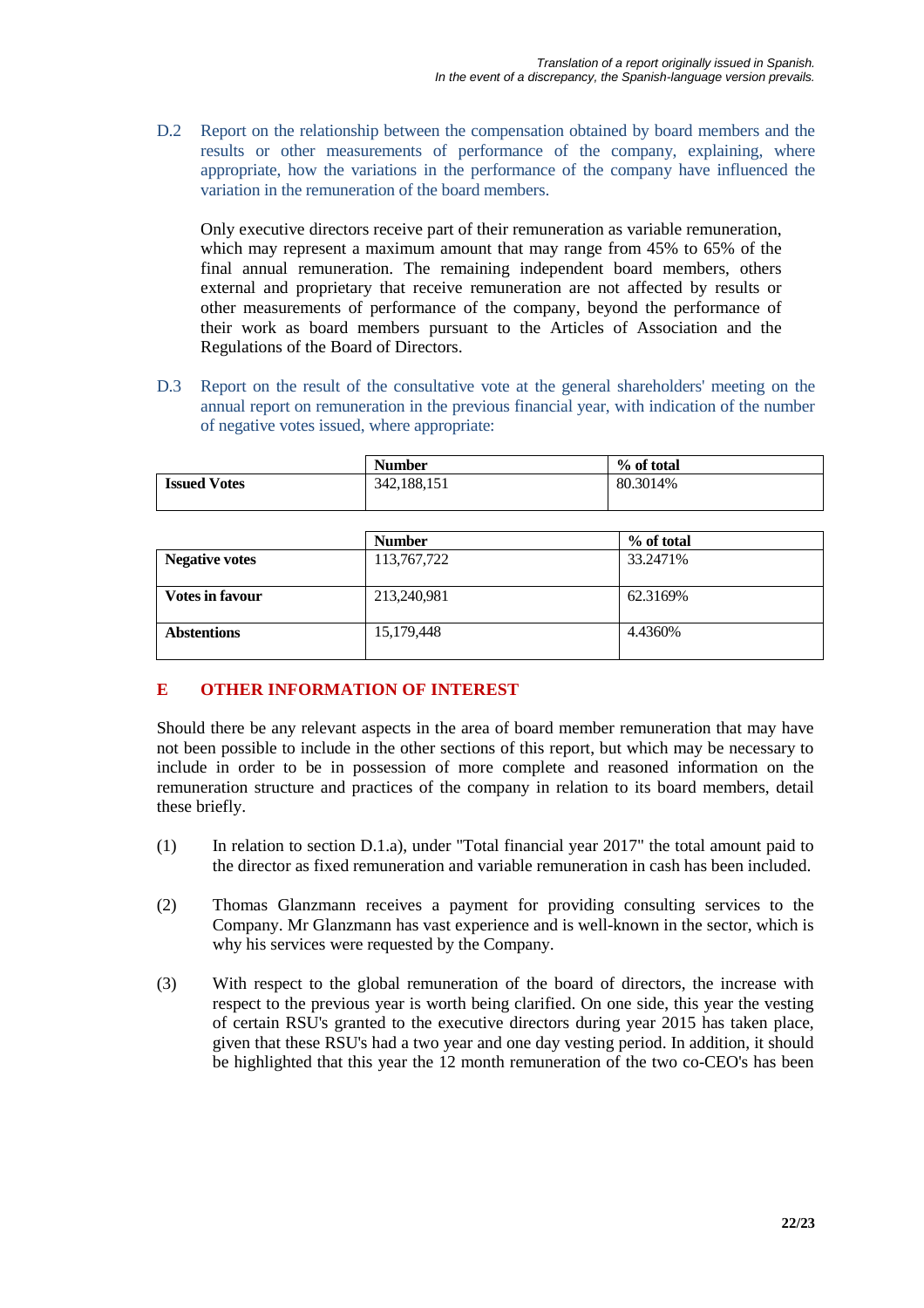D.2 Report on the relationship between the compensation obtained by board members and the results or other measurements of performance of the company, explaining, where appropriate, how the variations in the performance of the company have influenced the variation in the remuneration of the board members.

Only executive directors receive part of their remuneration as variable remuneration, which may represent a maximum amount that may range from 45% to 65% of the final annual remuneration. The remaining independent board members, others external and proprietary that receive remuneration are not affected by results or other measurements of performance of the company, beyond the performance of their work as board members pursuant to the Articles of Association and the Regulations of the Board of Directors.

D.3 Report on the result of the consultative vote at the general shareholders' meeting on the annual report on remuneration in the previous financial year, with indication of the number of negative votes issued, where appropriate:

|                     | <b>Number</b> | % of total |
|---------------------|---------------|------------|
| <b>Issued Votes</b> | 342,188,151   | 80.3014%   |

|                        | <b>Number</b> | % of total |
|------------------------|---------------|------------|
| <b>Negative votes</b>  | 113,767,722   | 33.2471%   |
| <b>Votes in favour</b> | 213,240,981   | 62.3169%   |
| <b>Abstentions</b>     | 15,179,448    | 4.4360%    |

# **E OTHER INFORMATION OF INTEREST**

Should there be any relevant aspects in the area of board member remuneration that may have not been possible to include in the other sections of this report, but which may be necessary to include in order to be in possession of more complete and reasoned information on the remuneration structure and practices of the company in relation to its board members, detail these briefly.

- (1) In relation to section D.1.a), under "Total financial year 2017" the total amount paid to the director as fixed remuneration and variable remuneration in cash has been included.
- (2) Thomas Glanzmann receives a payment for providing consulting services to the Company. Mr Glanzmann has vast experience and is well-known in the sector, which is why his services were requested by the Company.
- (3) With respect to the global remuneration of the board of directors, the increase with respect to the previous year is worth being clarified. On one side, this year the vesting of certain RSU's granted to the executive directors during year 2015 has taken place, given that these RSU's had a two year and one day vesting period. In addition, it should be highlighted that this year the 12 month remuneration of the two co-CEO's has been